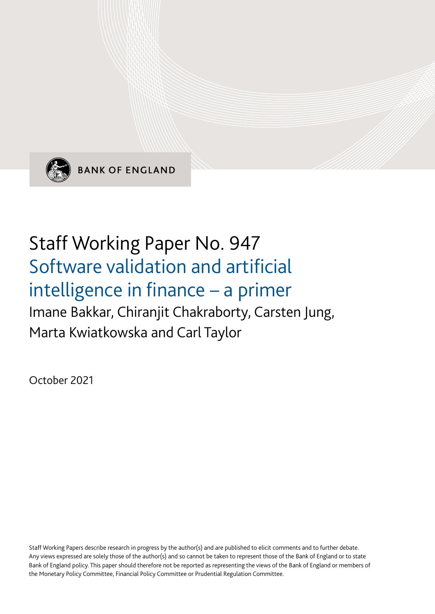

**BANK OF ENGLAND** 

# Staff Working Paper No. 947 Software validation and artificial intelligence in finance – a primer Imane Bakkar, Chiranjit Chakraborty, Carsten Jung, Marta Kwiatkowska and Carl Taylor

October 2021

Staff Working Papers describe research in progress by the author(s) and are published to elicit comments and to further debate. Any views expressed are solely those of the author(s) and so cannot be taken to represent those of the Bank of England or to state Bank of England policy. This paper should therefore not be reported as representing the views of the Bank of England or members of the Monetary Policy Committee, Financial Policy Committee or Prudential Regulation Committee.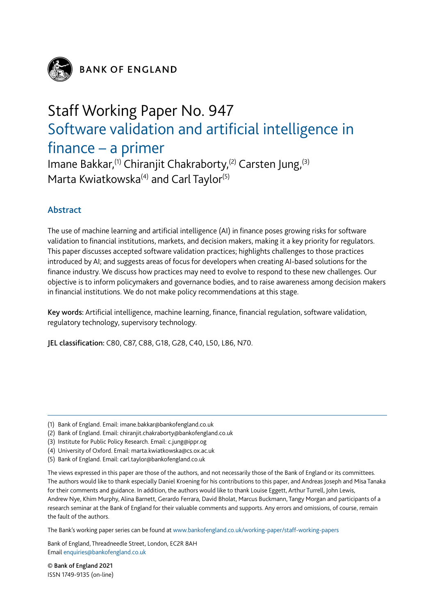

**BANK OF ENGLAND** 

## Staff Working Paper No. 947 Software validation and artificial intelligence in finance – a primer

Imane Bakkar,<sup>(1)</sup> Chiranjit Chakraborty,<sup>(2)</sup> Carsten Jung,<sup>(3)</sup> Marta Kwiatkowska<sup>(4)</sup> and Carl Taylor<sup>(5)</sup>

## Abstract

The use of machine learning and artificial intelligence (AI) in finance poses growing risks for software validation to financial institutions, markets, and decision makers, making it a key priority for regulators. This paper discusses accepted software validation practices; highlights challenges to those practices introduced by AI; and suggests areas of focus for developers when creating AI-based solutions for the finance industry. We discuss how practices may need to evolve to respond to these new challenges. Our objective is to inform policymakers and governance bodies, and to raise awareness among decision makers in financial institutions. We do not make policy recommendations at this stage.

Key words: Artificial intelligence, machine learning, finance, financial regulation, software validation, regulatory technology, supervisory technology.

JEL classification: C80, C87, C88, G18, G28, C40, L50, L86, N70.

(4) University of Oxford. Email: marta.kwiatkowska@cs.ox.ac.uk

The views expressed in this paper are those of the authors, and not necessarily those of the Bank of England or its committees. The authors would like to thank especially Daniel Kroening for his contributions to this paper, and Andreas Joseph and Misa Tanaka for their comments and guidance. In addition, the authors would like to thank Louise Eggett, Arthur Turrell, John Lewis, Andrew Nye, Khim Murphy, Alina Barnett, Gerardo Ferrara, David Bholat, Marcus Buckmann, Tangy Morgan and participants of a research seminar at the Bank of England for their valuable comments and supports. Any errors and omissions, of course, remain the fault of the authors.

The Bank's working paper series can be found at www.bankofengland.co.uk/working-paper/staff-working-papers

Bank of England, Threadneedle Street, London, EC2R 8AH Email enquiries@bankofengland.co.uk

© Bank of England 2021 ISSN 1749-9135 (on-line)

<sup>(1)</sup> Bank of England. Email: imane.bakkar@bankofengland.co.uk

<sup>(2)</sup> Bank of England. Email: chiranjit.chakraborty@bankofengland.co.uk

<sup>(3)</sup> Institute for Public Policy Research. Email: c.jung@ippr.og

<sup>(5)</sup> Bank of England. Email: carl.taylor@bankofengland.co.uk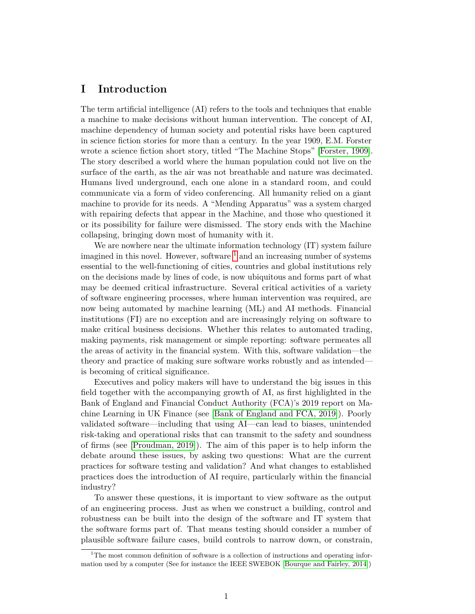## **I Introduction**

The term artificial intelligence (AI) refers to the tools and techniques that enable a machine to make decisions without human intervention. The concept of AI, machine dependency of human society and potential risks have been captured in science fiction stories for more than a century. In the year 1909, E.M. Forster wrote a science fiction short story, titled "The Machine Stops" [\[Forster, 1909\]](#page-34-0). The story described a world where the human population could not live on the surface of the earth, as the air was not breathable and nature was decimated. Humans lived underground, each one alone in a standard room, and could communicate via a form of video conferencing. All humanity relied on a giant machine to provide for its needs. A "Mending Apparatus" was a system charged with repairing defects that appear in the Machine, and those who questioned it or its possibility for failure were dismissed. The story ends with the Machine collapsing, bringing down most of humanity with it.

We are nowhere near the ultimate information technology  $(IT)$  system failure imagined in this novel. However, software  $<sup>1</sup>$  $<sup>1</sup>$  $<sup>1</sup>$  and an increasing number of systems</sup> essential to the well-functioning of cities, countries and global institutions rely on the decisions made by lines of code, is now ubiquitous and forms part of what may be deemed critical infrastructure. Several critical activities of a variety of software engineering processes, where human intervention was required, are now being automated by machine learning (ML) and AI methods. Financial institutions (FI) are no exception and are increasingly relying on software to make critical business decisions. Whether this relates to automated trading, making payments, risk management or simple reporting: software permeates all the areas of activity in the financial system. With this, software validation—the theory and practice of making sure software works robustly and as intended is becoming of critical significance.

Executives and policy makers will have to understand the big issues in this field together with the accompanying growth of AI, as first highlighted in the Bank of England and Financial Conduct Authority (FCA)'s 2019 report on Machine Learning in UK Finance (see [\[Bank of England and FCA, 2019\]](#page-32-0)). Poorly validated software—including that using AI—can lead to biases, unintended risk-taking and operational risks that can transmit to the safety and soundness of firms (see [\[Proudman, 2019\]](#page-37-0)). The aim of this paper is to help inform the debate around these issues, by asking two questions: What are the current practices for software testing and validation? And what changes to established practices does the introduction of AI require, particularly within the financial industry?

To answer these questions, it is important to view software as the output of an engineering process. Just as when we construct a building, control and robustness can be built into the design of the software and IT system that the software forms part of. That means testing should consider a number of plausible software failure cases, build controls to narrow down, or constrain,

<span id="page-2-0"></span><sup>&</sup>lt;sup>1</sup>The most common definition of software is a collection of instructions and operating information used by a computer (See for instance the IEEE SWEBOK [\[Bourque and Fairley, 2014\]](#page-32-1))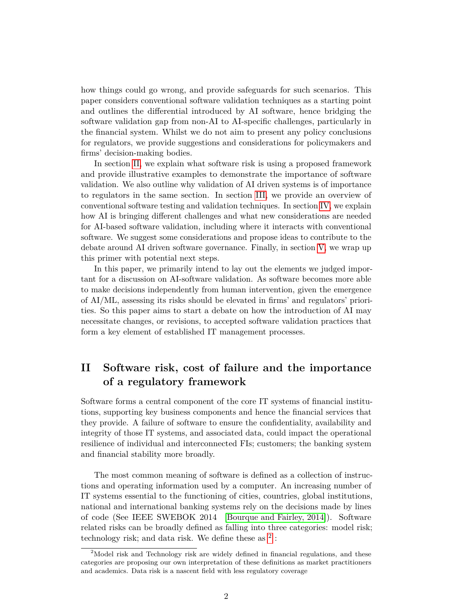how things could go wrong, and provide safeguards for such scenarios. This paper considers conventional software validation techniques as a starting point and outlines the differential introduced by AI software, hence bridging the software validation gap from non-AI to AI-specific challenges, particularly in the financial system. Whilst we do not aim to present any policy conclusions for regulators, we provide suggestions and considerations for policymakers and firms' decision-making bodies.

In section [II,](#page-3-0) we explain what software risk is using a proposed framework and provide illustrative examples to demonstrate the importance of software validation. We also outline why validation of AI driven systems is of importance to regulators in the same section. In section [III,](#page-8-0) we provide an overview of conventional software testing and validation techniques. In section [IV,](#page-12-0) we explain how AI is bringing different challenges and what new considerations are needed for AI-based software validation, including where it interacts with conventional software. We suggest some considerations and propose ideas to contribute to the debate around AI driven software governance. Finally, in section [V,](#page-29-0) we wrap up this primer with potential next steps.

In this paper, we primarily intend to lay out the elements we judged important for a discussion on AI-software validation. As software becomes more able to make decisions independently from human intervention, given the emergence of AI/ML, assessing its risks should be elevated in firms' and regulators' priorities. So this paper aims to start a debate on how the introduction of AI may necessitate changes, or revisions, to accepted software validation practices that form a key element of established IT management processes.

## <span id="page-3-0"></span>**II Software risk, cost of failure and the importance of a regulatory framework**

Software forms a central component of the core IT systems of financial institutions, supporting key business components and hence the financial services that they provide. A failure of software to ensure the confidentiality, availability and integrity of those IT systems, and associated data, could impact the operational resilience of individual and interconnected FIs; customers; the banking system and financial stability more broadly.

The most common meaning of software is defined as a collection of instructions and operating information used by a computer. An increasing number of IT systems essential to the functioning of cities, countries, global institutions, national and international banking systems rely on the decisions made by lines of code (See IEEE SWEBOK 2014 [\[Bourque and Fairley, 2014\]](#page-32-1)). Software related risks can be broadly defined as falling into three categories: model risk; technology risk; and data risk. We define these as  $^2$  $^2$ :

<span id="page-3-1"></span><sup>&</sup>lt;sup>2</sup>Model risk and Technology risk are widely defined in financial regulations, and these categories are proposing our own interpretation of these definitions as market practitioners and academics. Data risk is a nascent field with less regulatory coverage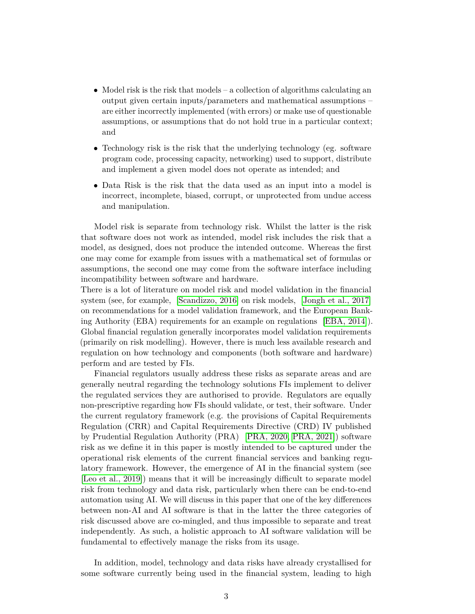- Model risk is the risk that models a collection of algorithms calculating an output given certain inputs/parameters and mathematical assumptions – are either incorrectly implemented (with errors) or make use of questionable assumptions, or assumptions that do not hold true in a particular context; and
- Technology risk is the risk that the underlying technology (eg. software program code, processing capacity, networking) used to support, distribute and implement a given model does not operate as intended; and
- Data Risk is the risk that the data used as an input into a model is incorrect, incomplete, biased, corrupt, or unprotected from undue access and manipulation.

Model risk is separate from technology risk. Whilst the latter is the risk that software does not work as intended, model risk includes the risk that a model, as designed, does not produce the intended outcome. Whereas the first one may come for example from issues with a mathematical set of formulas or assumptions, the second one may come from the software interface including incompatibility between software and hardware.

There is a lot of literature on model risk and model validation in the financial system (see, for example, [\[Scandizzo, 2016\]](#page-37-1) on risk models, [\[Jongh et al., 2017\]](#page-35-0) on recommendations for a model validation framework, and the European Banking Authority (EBA) requirements for an example on regulations [\[EBA, 2014\]](#page-33-0)). Global financial regulation generally incorporates model validation requirements (primarily on risk modelling). However, there is much less available research and regulation on how technology and components (both software and hardware) perform and are tested by FIs.

Financial regulators usually address these risks as separate areas and are generally neutral regarding the technology solutions FIs implement to deliver the regulated services they are authorised to provide. Regulators are equally non-prescriptive regarding how FIs should validate, or test, their software. Under the current regulatory framework (e.g. the provisions of Capital Requirements Regulation (CRR) and Capital Requirements Directive (CRD) IV published by Prudential Regulation Authority (PRA) [\[PRA, 2020,](#page-36-0) [PRA, 2021\]](#page-36-1)) software risk as we define it in this paper is mostly intended to be captured under the operational risk elements of the current financial services and banking regulatory framework. However, the emergence of AI in the financial system (see [\[Leo et al., 2019\]](#page-35-1)) means that it will be increasingly difficult to separate model risk from technology and data risk, particularly when there can be end-to-end automation using AI. We will discuss in this paper that one of the key differences between non-AI and AI software is that in the latter the three categories of risk discussed above are co-mingled, and thus impossible to separate and treat independently. As such, a holistic approach to AI software validation will be fundamental to effectively manage the risks from its usage.

In addition, model, technology and data risks have already crystallised for some software currently being used in the financial system, leading to high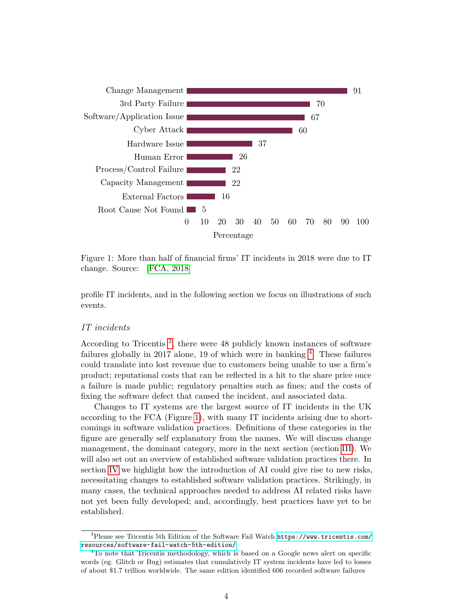

<span id="page-5-2"></span>Figure 1: More than half of financial firms' IT incidents in 2018 were due to IT change. Source: [\[FCA, 2018\]](#page-34-1)

profile IT incidents, and in the following section we focus on illustrations of such events.

#### *IT incidents*

According to Tricentis<sup>[3](#page-5-0)</sup>, there were 48 publicly known instances of software failures globally in 2017 alone, 19 of which were in banking  $4$ . These failures could translate into lost revenue due to customers being unable to use a firm's product; reputational costs that can be reflected in a hit to the share price once a failure is made public; regulatory penalties such as fines; and the costs of fixing the software defect that caused the incident, and associated data.

Changes to IT systems are the largest source of IT incidents in the UK according to the FCA (Figure [1\)](#page-5-2), with many IT incidents arising due to shortcomings in software validation practices. Definitions of these categories in the figure are generally self explanatory from the names. We will discuss change management, the dominant category, more in the next section (section [III\)](#page-8-0). We will also set out an overview of established software validation practices there. In section [IV](#page-12-0) we highlight how the introduction of AI could give rise to new risks, necessitating changes to established software validation practices. Strikingly, in many cases, the technical approaches needed to address AI related risks have not yet been fully developed; and, accordingly, best practices have yet to be established.

<span id="page-5-0"></span><sup>3</sup>Please see Tricentis 5th Edition of the Software Fail Watch [https://www.tricentis.com/](https://www.tricentis.com/resources/software-fail-watch-5th-edition/) [resources/software-fail-watch-5th-edition/](https://www.tricentis.com/resources/software-fail-watch-5th-edition/)

<span id="page-5-1"></span><sup>&</sup>lt;sup>4</sup>To note that Tricentis methodology, which is based on a Google news alert on specific words (eg. Glitch or Bug) estimates that cumulatively IT system incidents have led to losses of about \$1.7 trillion worldwide. The same edition identified 606 recorded software failures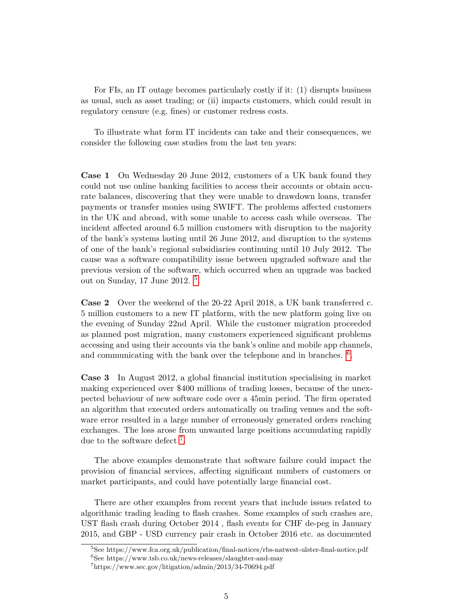For FIs, an IT outage becomes particularly costly if it: (1) disrupts business as usual, such as asset trading; or (ii) impacts customers, which could result in regulatory censure (e.g. fines) or customer redress costs.

To illustrate what form IT incidents can take and their consequences, we consider the following case studies from the last ten years:

**Case 1** On Wednesday 20 June 2012, customers of a UK bank found they could not use online banking facilities to access their accounts or obtain accurate balances, discovering that they were unable to drawdown loans, transfer payments or transfer monies using SWIFT. The problems affected customers in the UK and abroad, with some unable to access cash while overseas. The incident affected around 6.5 million customers with disruption to the majority of the bank's systems lasting until 26 June 2012, and disruption to the systems of one of the bank's regional subsidiaries continuing until 10 July 2012. The cause was a software compatibility issue between upgraded software and the previous version of the software, which occurred when an upgrade was backed out on Sunday, 17 June 2012.<sup>[5](#page-6-0)</sup>.

**Case 2** Over the weekend of the 20-22 April 2018, a UK bank transferred c. 5 million customers to a new IT platform, with the new platform going live on the evening of Sunday 22nd April. While the customer migration proceeded as planned post migration, many customers experienced significant problems accessing and using their accounts via the bank's online and mobile app channels, and communicating with the bank over the telephone and in branches.  $6$ .

**Case 3** In August 2012, a global financial institution specialising in market making experienced over \$400 millions of trading losses, because of the unexpected behaviour of new software code over a 45min period. The firm operated an algorithm that executed orders automatically on trading venues and the software error resulted in a large number of erroneously generated orders reaching exchanges. The loss arose from unwanted large positions accumulating rapidly due to the software defect<sup>[7](#page-6-2)</sup>.

The above examples demonstrate that software failure could impact the provision of financial services, affecting significant numbers of customers or market participants, and could have potentially large financial cost.

There are other examples from recent years that include issues related to algorithmic trading leading to flash crashes. Some examples of such crashes are, UST flash crash during October 2014 , flash events for CHF de-peg in January 2015, and GBP - USD currency pair crash in October 2016 etc. as documented

<span id="page-6-0"></span><sup>5</sup>See https://www.fca.org.uk/publication/final-notices/rbs-natwest-ulster-final-notice.pdf

<span id="page-6-1"></span><sup>6</sup>See https://www.tsb.co.uk/news-releases/slaughter-and-may

<span id="page-6-2"></span><sup>7</sup>https://www.sec.gov/litigation/admin/2013/34-70694.pdf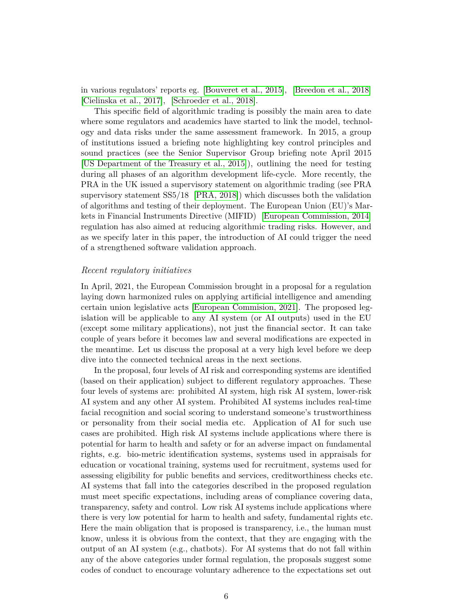in various regulators' reports eg. [\[Bouveret et al., 2015\]](#page-32-2), [\[Breedon et al., 2018\]](#page-32-3) [\[Cielinska et al., 2017\]](#page-33-1), [\[Schroeder et al., 2018\]](#page-37-2).

This specific field of algorithmic trading is possibly the main area to date where some regulators and academics have started to link the model, technology and data risks under the same assessment framework. In 2015, a group of institutions issued a briefing note highlighting key control principles and sound practices (see the Senior Supervisor Group briefing note April 2015 [\[US Department of the Treasury et al., 2015\]](#page-37-3)), outlining the need for testing during all phases of an algorithm development life-cycle. More recently, the PRA in the UK issued a supervisory statement on algorithmic trading (see PRA supervisory statement SS5/18 [\[PRA, 2018\]](#page-36-2)) which discusses both the validation of algorithms and testing of their deployment. The European Union (EU)'s Markets in Financial Instruments Directive (MIFID) [\[European Commission, 2014\]](#page-33-2) regulation has also aimed at reducing algorithmic trading risks. However, and as we specify later in this paper, the introduction of AI could trigger the need of a strengthened software validation approach.

#### *Recent regulatory initiatives*

In April, 2021, the European Commission brought in a proposal for a regulation laying down harmonized rules on applying artificial intelligence and amending certain union legislative acts [\[European Commision, 2021\]](#page-33-3). The proposed legislation will be applicable to any AI system (or AI outputs) used in the EU (except some military applications), not just the financial sector. It can take couple of years before it becomes law and several modifications are expected in the meantime. Let us discuss the proposal at a very high level before we deep dive into the connected technical areas in the next sections.

In the proposal, four levels of AI risk and corresponding systems are identified (based on their application) subject to different regulatory approaches. These four levels of systems are: prohibited AI system, high risk AI system, lower-risk AI system and any other AI system. Prohibited AI systems includes real-time facial recognition and social scoring to understand someone's trustworthiness or personality from their social media etc. Application of AI for such use cases are prohibited. High risk AI systems include applications where there is potential for harm to health and safety or for an adverse impact on fundamental rights, e.g. bio-metric identification systems, systems used in appraisals for education or vocational training, systems used for recruitment, systems used for assessing eligibility for public benefits and services, creditworthiness checks etc. AI systems that fall into the categories described in the proposed regulation must meet specific expectations, including areas of compliance covering data, transparency, safety and control. Low risk AI systems include applications where there is very low potential for harm to health and safety, fundamental rights etc. Here the main obligation that is proposed is transparency, i.e., the human must know, unless it is obvious from the context, that they are engaging with the output of an AI system (e.g., chatbots). For AI systems that do not fall within any of the above categories under formal regulation, the proposals suggest some codes of conduct to encourage voluntary adherence to the expectations set out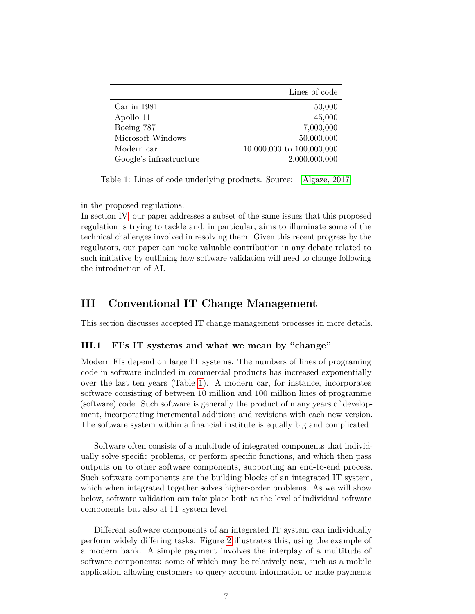|                         | Lines of code             |
|-------------------------|---------------------------|
| $Car$ in $1981$         | 50,000                    |
| Apollo 11               | 145,000                   |
| Boeing 787              | 7,000,000                 |
| Microsoft Windows       | 50,000,000                |
| Modern car              | 10,000,000 to 100,000,000 |
| Google's infrastructure | 2,000,000,000             |

<span id="page-8-1"></span>Table 1: Lines of code underlying products. Source: [\[Algaze, 2017\]](#page-32-4)

in the proposed regulations.

In section [IV,](#page-12-0) our paper addresses a subset of the same issues that this proposed regulation is trying to tackle and, in particular, aims to illuminate some of the technical challenges involved in resolving them. Given this recent progress by the regulators, our paper can make valuable contribution in any debate related to such initiative by outlining how software validation will need to change following the introduction of AI.

## <span id="page-8-0"></span>**III Conventional IT Change Management**

This section discusses accepted IT change management processes in more details.

#### **III.1 FI's IT systems and what we mean by "change"**

Modern FIs depend on large IT systems. The numbers of lines of programing code in software included in commercial products has increased exponentially over the last ten years (Table [1\)](#page-8-1). A modern car, for instance, incorporates software consisting of between 10 million and 100 million lines of programme (software) code. Such software is generally the product of many years of development, incorporating incremental additions and revisions with each new version. The software system within a financial institute is equally big and complicated.

Software often consists of a multitude of integrated components that individually solve specific problems, or perform specific functions, and which then pass outputs on to other software components, supporting an end-to-end process. Such software components are the building blocks of an integrated IT system, which when integrated together solves higher-order problems. As we will show below, software validation can take place both at the level of individual software components but also at IT system level.

Different software components of an integrated IT system can individually perform widely differing tasks. Figure [2](#page-9-0) illustrates this, using the example of a modern bank. A simple payment involves the interplay of a multitude of software components: some of which may be relatively new, such as a mobile application allowing customers to query account information or make payments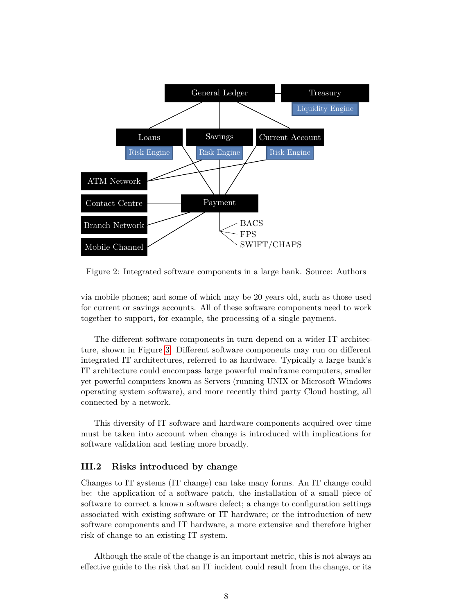

<span id="page-9-0"></span>Figure 2: Integrated software components in a large bank. Source: Authors

via mobile phones; and some of which may be 20 years old, such as those used for current or savings accounts. All of these software components need to work together to support, for example, the processing of a single payment.

The different software components in turn depend on a wider IT architecture, shown in Figure [3.](#page-10-0) Different software components may run on different integrated IT architectures, referred to as hardware. Typically a large bank's IT architecture could encompass large powerful mainframe computers, smaller yet powerful computers known as Servers (running UNIX or Microsoft Windows operating system software), and more recently third party Cloud hosting, all connected by a network.

This diversity of IT software and hardware components acquired over time must be taken into account when change is introduced with implications for software validation and testing more broadly.

#### **III.2 Risks introduced by change**

Changes to IT systems (IT change) can take many forms. An IT change could be: the application of a software patch, the installation of a small piece of software to correct a known software defect; a change to configuration settings associated with existing software or IT hardware; or the introduction of new software components and IT hardware, a more extensive and therefore higher risk of change to an existing IT system.

Although the scale of the change is an important metric, this is not always an effective guide to the risk that an IT incident could result from the change, or its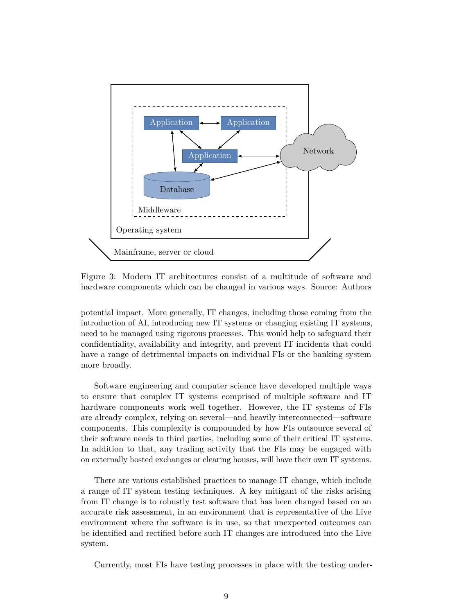

<span id="page-10-0"></span>Figure 3: Modern IT architectures consist of a multitude of software and hardware components which can be changed in various ways. Source: Authors

potential impact. More generally, IT changes, including those coming from the introduction of AI, introducing new IT systems or changing existing IT systems, need to be managed using rigorous processes. This would help to safeguard their confidentiality, availability and integrity, and prevent IT incidents that could have a range of detrimental impacts on individual FIs or the banking system more broadly.

Software engineering and computer science have developed multiple ways to ensure that complex IT systems comprised of multiple software and IT hardware components work well together. However, the IT systems of FIs are already complex, relying on several—and heavily interconnected—software components. This complexity is compounded by how FIs outsource several of their software needs to third parties, including some of their critical IT systems. In addition to that, any trading activity that the FIs may be engaged with on externally hosted exchanges or clearing houses, will have their own IT systems.

There are various established practices to manage IT change, which include a range of IT system testing techniques. A key mitigant of the risks arising from IT change is to robustly test software that has been changed based on an accurate risk assessment, in an environment that is representative of the Live environment where the software is in use, so that unexpected outcomes can be identified and rectified before such IT changes are introduced into the Live system.

Currently, most FIs have testing processes in place with the testing under-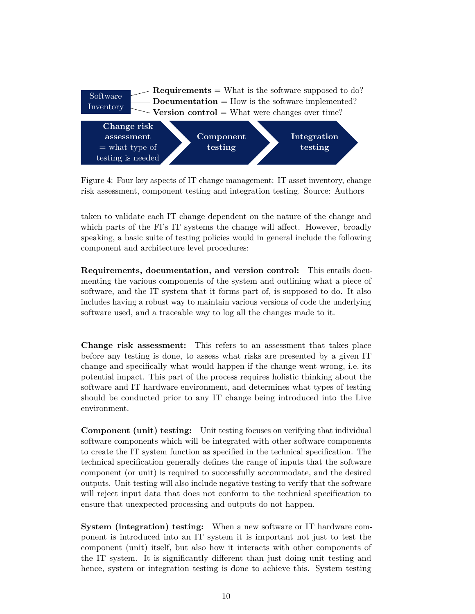

Figure 4: Four key aspects of IT change management: IT asset inventory, change risk assessment, component testing and integration testing. Source: Authors

taken to validate each IT change dependent on the nature of the change and which parts of the FI's IT systems the change will affect. However, broadly speaking, a basic suite of testing policies would in general include the following component and architecture level procedures:

**Requirements, documentation, and version control:** This entails documenting the various components of the system and outlining what a piece of software, and the IT system that it forms part of, is supposed to do. It also includes having a robust way to maintain various versions of code the underlying software used, and a traceable way to log all the changes made to it.

**Change risk assessment:** This refers to an assessment that takes place before any testing is done, to assess what risks are presented by a given IT change and specifically what would happen if the change went wrong, i.e. its potential impact. This part of the process requires holistic thinking about the software and IT hardware environment, and determines what types of testing should be conducted prior to any IT change being introduced into the Live environment.

**Component (unit) testing:** Unit testing focuses on verifying that individual software components which will be integrated with other software components to create the IT system function as specified in the technical specification. The technical specification generally defines the range of inputs that the software component (or unit) is required to successfully accommodate, and the desired outputs. Unit testing will also include negative testing to verify that the software will reject input data that does not conform to the technical specification to ensure that unexpected processing and outputs do not happen.

**System (integration) testing:** When a new software or IT hardware component is introduced into an IT system it is important not just to test the component (unit) itself, but also how it interacts with other components of the IT system. It is significantly different than just doing unit testing and hence, system or integration testing is done to achieve this. System testing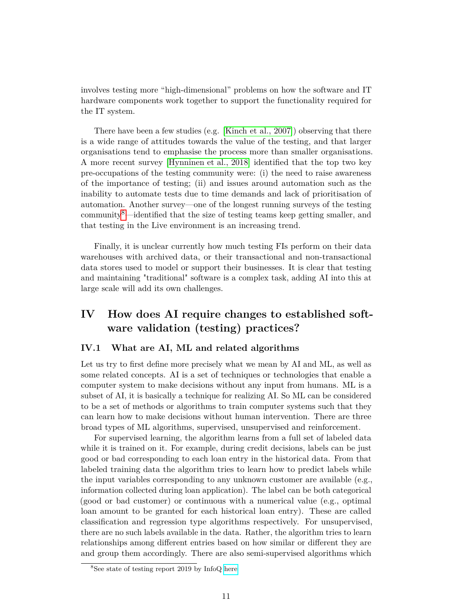involves testing more "high-dimensional" problems on how the software and IT hardware components work together to support the functionality required for the IT system.

There have been a few studies (e.g. [\[Kinch et al., 2007\]](#page-35-2)) observing that there is a wide range of attitudes towards the value of the testing, and that larger organisations tend to emphasise the process more than smaller organisations. A more recent survey [\[Hynninen et al., 2018\]](#page-34-2) identified that the top two key pre-occupations of the testing community were: (i) the need to raise awareness of the importance of testing; (ii) and issues around automation such as the inability to automate tests due to time demands and lack of prioritisation of automation. Another survey—one of the longest running surveys of the testing community<sup>[8](#page-12-1)</sup>—identified that the size of testing teams keep getting smaller, and that testing in the Live environment is an increasing trend.

Finally, it is unclear currently how much testing FIs perform on their data warehouses with archived data, or their transactional and non-transactional data stores used to model or support their businesses. It is clear that testing and maintaining "traditional" software is a complex task, adding AI into this at large scale will add its own challenges.

## <span id="page-12-0"></span>**IV How does AI require changes to established software validation (testing) practices?**

#### <span id="page-12-2"></span>**IV.1 What are AI, ML and related algorithms**

Let us try to first define more precisely what we mean by AI and ML, as well as some related concepts. AI is a set of techniques or technologies that enable a computer system to make decisions without any input from humans. ML is a subset of AI, it is basically a technique for realizing AI. So ML can be considered to be a set of methods or algorithms to train computer systems such that they can learn how to make decisions without human intervention. There are three broad types of ML algorithms, supervised, unsupervised and reinforcement.

For supervised learning, the algorithm learns from a full set of labeled data while it is trained on it. For example, during credit decisions, labels can be just good or bad corresponding to each loan entry in the historical data. From that labeled training data the algorithm tries to learn how to predict labels while the input variables corresponding to any unknown customer are available (e.g., information collected during loan application). The label can be both categorical (good or bad customer) or continuous with a numerical value (e.g., optimal loan amount to be granted for each historical loan entry). These are called classification and regression type algorithms respectively. For unsupervised, there are no such labels available in the data. Rather, the algorithm tries to learn relationships among different entries based on how similar or different they are and group them accordingly. There are also semi-supervised algorithms which

<span id="page-12-1"></span><sup>8</sup>See state of testing report 2019 by InfoQ [here](https://www.infoq.com/articles/2019-state-testing-report/)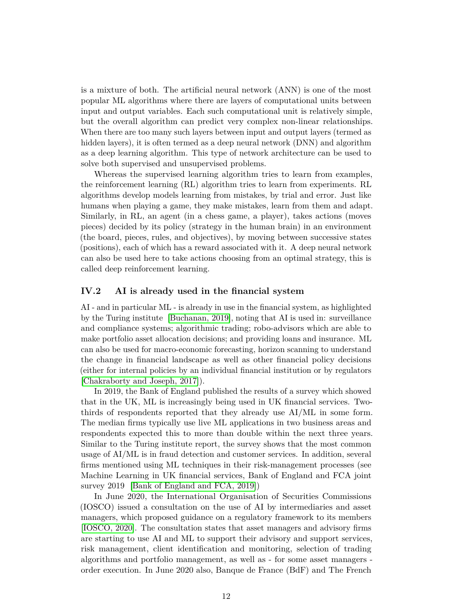is a mixture of both. The artificial neural network (ANN) is one of the most popular ML algorithms where there are layers of computational units between input and output variables. Each such computational unit is relatively simple, but the overall algorithm can predict very complex non-linear relationships. When there are too many such layers between input and output layers (termed as hidden layers), it is often termed as a deep neural network (DNN) and algorithm as a deep learning algorithm. This type of network architecture can be used to solve both supervised and unsupervised problems.

Whereas the supervised learning algorithm tries to learn from examples, the reinforcement learning (RL) algorithm tries to learn from experiments. RL algorithms develop models learning from mistakes, by trial and error. Just like humans when playing a game, they make mistakes, learn from them and adapt. Similarly, in RL, an agent (in a chess game, a player), takes actions (moves pieces) decided by its policy (strategy in the human brain) in an environment (the board, pieces, rules, and objectives), by moving between successive states (positions), each of which has a reward associated with it. A deep neural network can also be used here to take actions choosing from an optimal strategy, this is called deep reinforcement learning.

#### **IV.2 AI is already used in the financial system**

AI - and in particular ML - is already in use in the financial system, as highlighted by the Turing institute [\[Buchanan, 2019\]](#page-32-5), noting that AI is used in: surveillance and compliance systems; algorithmic trading; robo-advisors which are able to make portfolio asset allocation decisions; and providing loans and insurance. ML can also be used for macro-economic forecasting, horizon scanning to understand the change in financial landscape as well as other financial policy decisions (either for internal policies by an individual financial institution or by regulators [\[Chakraborty and Joseph, 2017\]](#page-33-4)).

In 2019, the Bank of England published the results of a survey which showed that in the UK, ML is increasingly being used in UK financial services. Twothirds of respondents reported that they already use AI/ML in some form. The median firms typically use live ML applications in two business areas and respondents expected this to more than double within the next three years. Similar to the Turing institute report, the survey shows that the most common usage of AI/ML is in fraud detection and customer services. In addition, several firms mentioned using ML techniques in their risk-management processes (see Machine Learning in UK financial services, Bank of England and FCA joint survey 2019 [\[Bank of England and FCA, 2019\]](#page-32-0))

In June 2020, the International Organisation of Securities Commissions (IOSCO) issued a consultation on the use of AI by intermediaries and asset managers, which proposed guidance on a regulatory framework to its members [\[IOSCO, 2020\]](#page-34-3). The consultation states that asset managers and advisory firms are starting to use AI and ML to support their advisory and support services, risk management, client identification and monitoring, selection of trading algorithms and portfolio management, as well as - for some asset managers order execution. In June 2020 also, Banque de France (BdF) and The French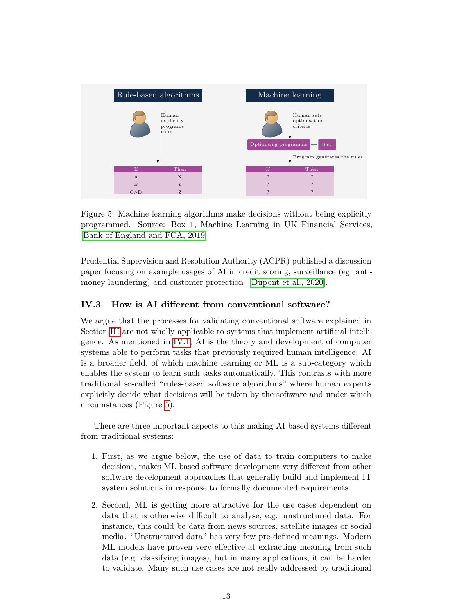

<span id="page-14-0"></span>Figure 5: Machine learning algorithms make decisions without being explicitly programmed. Source: Box 1, Machine Learning in UK Financial Services, [\[Bank of England and FCA, 2019\]](#page-32-0)

Prudential Supervision and Resolution Authority (ACPR) published a discussion paper focusing on example usages of AI in credit scoring, surveillance (eg. antimoney laundering) and customer protection [\[Dupont et al., 2020\]](#page-33-5).

#### **IV.3 How is AI different from conventional software?**

We argue that the processes for validating conventional software explained in Section [III](#page-8-0) are not wholly applicable to systems that implement artificial intelligence. As mentioned in [IV.1,](#page-12-2) AI is the theory and development of computer systems able to perform tasks that previously required human intelligence. AI is a broader field, of which machine learning or ML is a sub-category which enables the system to learn such tasks automatically. This contrasts with more traditional so-called "rules-based software algorithms" where human experts explicitly decide what decisions will be taken by the software and under which circumstances (Figure [5\)](#page-14-0).

There are three important aspects to this making AI based systems different from traditional systems:

- 1. First, as we argue below, the use of data to train computers to make decisions, makes ML based software development very different from other software development approaches that generally build and implement IT system solutions in response to formally documented requirements.
- 2. Second, ML is getting more attractive for the use-cases dependent on data that is otherwise difficult to analyse, e.g. unstructured data. For instance, this could be data from news sources, satellite images or social media. "Unstructured data" has very few pre-defined meanings. Modern ML models have proven very effective at extracting meaning from such data (e.g. classifying images), but in many applications, it can be harder to validate. Many such use cases are not really addressed by traditional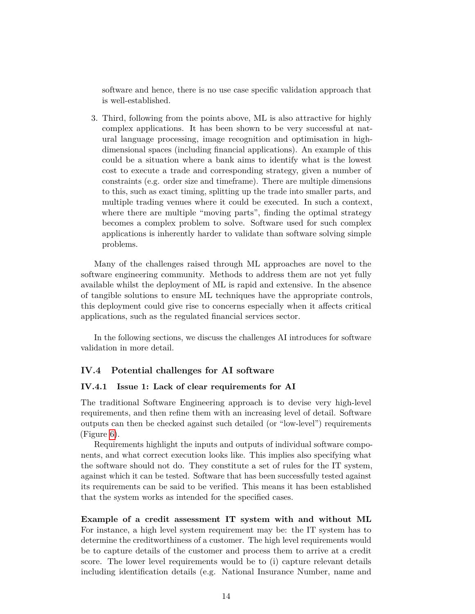software and hence, there is no use case specific validation approach that is well-established.

3. Third, following from the points above, ML is also attractive for highly complex applications. It has been shown to be very successful at natural language processing, image recognition and optimisation in highdimensional spaces (including financial applications). An example of this could be a situation where a bank aims to identify what is the lowest cost to execute a trade and corresponding strategy, given a number of constraints (e.g. order size and timeframe). There are multiple dimensions to this, such as exact timing, splitting up the trade into smaller parts, and multiple trading venues where it could be executed. In such a context, where there are multiple "moving parts", finding the optimal strategy becomes a complex problem to solve. Software used for such complex applications is inherently harder to validate than software solving simple problems.

Many of the challenges raised through ML approaches are novel to the software engineering community. Methods to address them are not yet fully available whilst the deployment of ML is rapid and extensive. In the absence of tangible solutions to ensure ML techniques have the appropriate controls, this deployment could give rise to concerns especially when it affects critical applications, such as the regulated financial services sector.

In the following sections, we discuss the challenges AI introduces for software validation in more detail.

#### **IV.4 Potential challenges for AI software**

#### **IV.4.1 Issue 1: Lack of clear requirements for AI**

The traditional Software Engineering approach is to devise very high-level requirements, and then refine them with an increasing level of detail. Software outputs can then be checked against such detailed (or "low-level") requirements (Figure [6\)](#page-16-0).

Requirements highlight the inputs and outputs of individual software components, and what correct execution looks like. This implies also specifying what the software should not do. They constitute a set of rules for the IT system, against which it can be tested. Software that has been successfully tested against its requirements can be said to be verified. This means it has been established that the system works as intended for the specified cases.

**Example of a credit assessment IT system with and without ML** For instance, a high level system requirement may be: the IT system has to determine the creditworthiness of a customer. The high level requirements would be to capture details of the customer and process them to arrive at a credit score. The lower level requirements would be to (i) capture relevant details including identification details (e.g. National Insurance Number, name and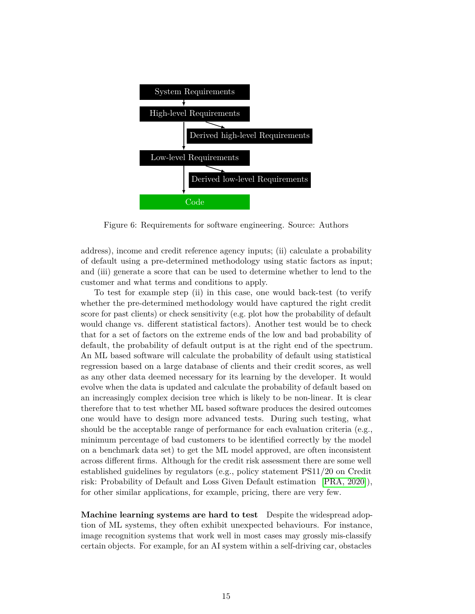

<span id="page-16-0"></span>Figure 6: Requirements for software engineering. Source: Authors

address), income and credit reference agency inputs; (ii) calculate a probability of default using a pre-determined methodology using static factors as input; and (iii) generate a score that can be used to determine whether to lend to the customer and what terms and conditions to apply.

To test for example step (ii) in this case, one would back-test (to verify whether the pre-determined methodology would have captured the right credit score for past clients) or check sensitivity (e.g. plot how the probability of default would change vs. different statistical factors). Another test would be to check that for a set of factors on the extreme ends of the low and bad probability of default, the probability of default output is at the right end of the spectrum. An ML based software will calculate the probability of default using statistical regression based on a large database of clients and their credit scores, as well as any other data deemed necessary for its learning by the developer. It would evolve when the data is updated and calculate the probability of default based on an increasingly complex decision tree which is likely to be non-linear. It is clear therefore that to test whether ML based software produces the desired outcomes one would have to design more advanced tests. During such testing, what should be the acceptable range of performance for each evaluation criteria (e.g., minimum percentage of bad customers to be identified correctly by the model on a benchmark data set) to get the ML model approved, are often inconsistent across different firms. Although for the credit risk assessment there are some well established guidelines by regulators (e.g., policy statement PS11/20 on Credit risk: Probability of Default and Loss Given Default estimation [\[PRA, 2020\]](#page-36-0)), for other similar applications, for example, pricing, there are very few.

**Machine learning systems are hard to test** Despite the widespread adoption of ML systems, they often exhibit unexpected behaviours. For instance, image recognition systems that work well in most cases may grossly mis-classify certain objects. For example, for an AI system within a self-driving car, obstacles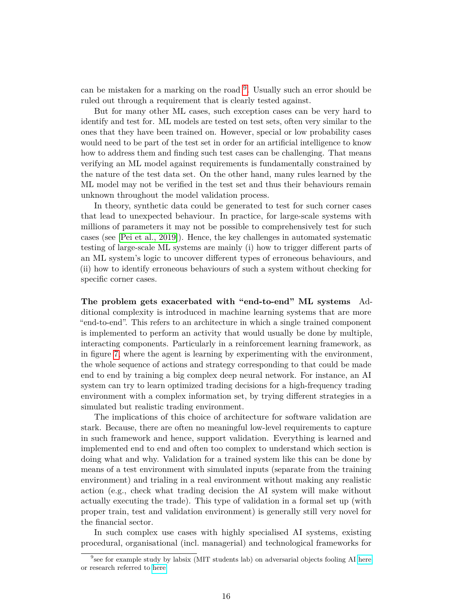can be mistaken for a marking on the road  $9$ . Usually such an error should be ruled out through a requirement that is clearly tested against.

But for many other ML cases, such exception cases can be very hard to identify and test for. ML models are tested on test sets, often very similar to the ones that they have been trained on. However, special or low probability cases would need to be part of the test set in order for an artificial intelligence to know how to address them and finding such test cases can be challenging. That means verifying an ML model against requirements is fundamentally constrained by the nature of the test data set. On the other hand, many rules learned by the ML model may not be verified in the test set and thus their behaviours remain unknown throughout the model validation process.

In theory, synthetic data could be generated to test for such corner cases that lead to unexpected behaviour. In practice, for large-scale systems with millions of parameters it may not be possible to comprehensively test for such cases (see [\[Pei et al., 2019\]](#page-36-3)). Hence, the key challenges in automated systematic testing of large-scale ML systems are mainly (i) how to trigger different parts of an ML system's logic to uncover different types of erroneous behaviours, and (ii) how to identify erroneous behaviours of such a system without checking for specific corner cases.

**The problem gets exacerbated with "end-to-end" ML systems** Additional complexity is introduced in machine learning systems that are more "end-to-end". This refers to an architecture in which a single trained component is implemented to perform an activity that would usually be done by multiple, interacting components. Particularly in a reinforcement learning framework, as in figure [7,](#page-18-0) where the agent is learning by experimenting with the environment, the whole sequence of actions and strategy corresponding to that could be made end to end by training a big complex deep neural network. For instance, an AI system can try to learn optimized trading decisions for a high-frequency trading environment with a complex information set, by trying different strategies in a simulated but realistic trading environment.

The implications of this choice of architecture for software validation are stark. Because, there are often no meaningful low-level requirements to capture in such framework and hence, support validation. Everything is learned and implemented end to end and often too complex to understand which section is doing what and why. Validation for a trained system like this can be done by means of a test environment with simulated inputs (separate from the training environment) and trialing in a real environment without making any realistic action (e.g., check what trading decision the AI system will make without actually executing the trade). This type of validation in a formal set up (with proper train, test and validation environment) is generally still very novel for the financial sector.

In such complex use cases with highly specialised AI systems, existing procedural, organisational (incl. managerial) and technological frameworks for

<span id="page-17-0"></span><sup>&</sup>lt;sup>9</sup>see for example study by labsix (MIT students lab) on adversarial objects fooling AI [here](https://www.labsix.org/physical-objects-that-fool-neural-nets/) or research referred to [here.](https://www.wired.com/story/researcher-fooled-a-google-ai-into-thinking-a-rifle-was-a-helicopter)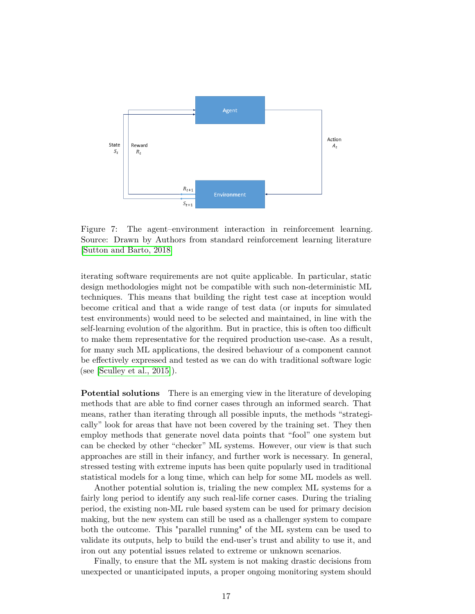

<span id="page-18-0"></span>Figure 7: The agent–environment interaction in reinforcement learning. Source: Drawn by Authors from standard reinforcement learning literature [\[Sutton and Barto, 2018\]](#page-37-4)

iterating software requirements are not quite applicable. In particular, static design methodologies might not be compatible with such non-deterministic ML techniques. This means that building the right test case at inception would become critical and that a wide range of test data (or inputs for simulated test environments) would need to be selected and maintained, in line with the self-learning evolution of the algorithm. But in practice, this is often too difficult to make them representative for the required production use-case. As a result, for many such ML applications, the desired behaviour of a component cannot be effectively expressed and tested as we can do with traditional software logic (see [\[Sculley et al., 2015\]](#page-37-5)).

**Potential solutions** There is an emerging view in the literature of developing methods that are able to find corner cases through an informed search. That means, rather than iterating through all possible inputs, the methods "strategically" look for areas that have not been covered by the training set. They then employ methods that generate novel data points that "fool" one system but can be checked by other "checker" ML systems. However, our view is that such approaches are still in their infancy, and further work is necessary. In general, stressed testing with extreme inputs has been quite popularly used in traditional statistical models for a long time, which can help for some ML models as well.

Another potential solution is, trialing the new complex ML systems for a fairly long period to identify any such real-life corner cases. During the trialing period, the existing non-ML rule based system can be used for primary decision making, but the new system can still be used as a challenger system to compare both the outcome. This "parallel running" of the ML system can be used to validate its outputs, help to build the end-user's trust and ability to use it, and iron out any potential issues related to extreme or unknown scenarios.

Finally, to ensure that the ML system is not making drastic decisions from unexpected or unanticipated inputs, a proper ongoing monitoring system should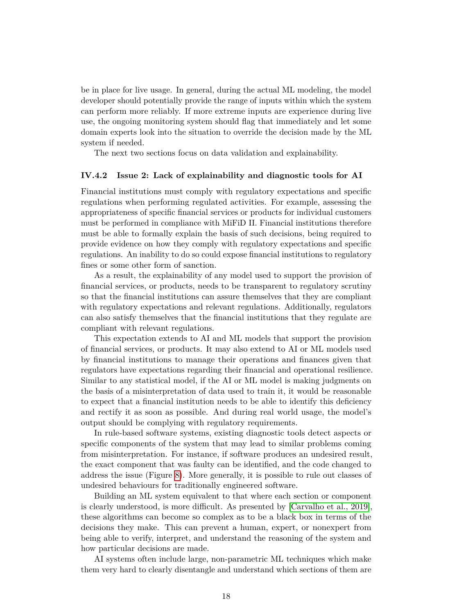be in place for live usage. In general, during the actual ML modeling, the model developer should potentially provide the range of inputs within which the system can perform more reliably. If more extreme inputs are experience during live use, the ongoing monitoring system should flag that immediately and let some domain experts look into the situation to override the decision made by the ML system if needed.

The next two sections focus on data validation and explainability.

#### **IV.4.2 Issue 2: Lack of explainability and diagnostic tools for AI**

Financial institutions must comply with regulatory expectations and specific regulations when performing regulated activities. For example, assessing the appropriateness of specific financial services or products for individual customers must be performed in compliance with MiFiD II. Financial institutions therefore must be able to formally explain the basis of such decisions, being required to provide evidence on how they comply with regulatory expectations and specific regulations. An inability to do so could expose financial institutions to regulatory fines or some other form of sanction.

As a result, the explainability of any model used to support the provision of financial services, or products, needs to be transparent to regulatory scrutiny so that the financial institutions can assure themselves that they are compliant with regulatory expectations and relevant regulations. Additionally, regulators can also satisfy themselves that the financial institutions that they regulate are compliant with relevant regulations.

This expectation extends to AI and ML models that support the provision of financial services, or products. It may also extend to AI or ML models used by financial institutions to manage their operations and finances given that regulators have expectations regarding their financial and operational resilience. Similar to any statistical model, if the AI or ML model is making judgments on the basis of a misinterpretation of data used to train it, it would be reasonable to expect that a financial institution needs to be able to identify this deficiency and rectify it as soon as possible. And during real world usage, the model's output should be complying with regulatory requirements.

In rule-based software systems, existing diagnostic tools detect aspects or specific components of the system that may lead to similar problems coming from misinterpretation. For instance, if software produces an undesired result, the exact component that was faulty can be identified, and the code changed to address the issue (Figure [8\)](#page-20-0). More generally, it is possible to rule out classes of undesired behaviours for traditionally engineered software.

Building an ML system equivalent to that where each section or component is clearly understood, is more difficult. As presented by [\[Carvalho et al., 2019\]](#page-33-6), these algorithms can become so complex as to be a black box in terms of the decisions they make. This can prevent a human, expert, or nonexpert from being able to verify, interpret, and understand the reasoning of the system and how particular decisions are made.

AI systems often include large, non-parametric ML techniques which make them very hard to clearly disentangle and understand which sections of them are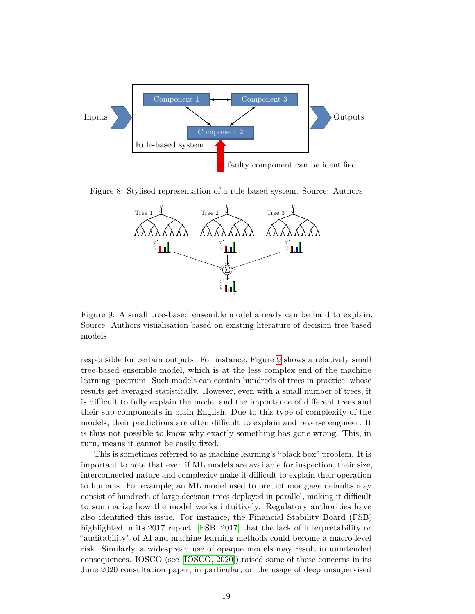

Figure 8: Stylised representation of a rule-based system. Source: Authors

<span id="page-20-0"></span>

<span id="page-20-1"></span>Figure 9: A small tree-based ensemble model already can be hard to explain. Source: Authors visualisation based on existing literature of decision tree based models

responsible for certain outputs. For instance, Figure [9](#page-20-1) shows a relatively small tree-based ensemble model, which is at the less complex end of the machine learning spectrum. Such models can contain hundreds of trees in practice, whose results get averaged statistically. However, even with a small number of trees, it is difficult to fully explain the model and the importance of different trees and their sub-components in plain English. Due to this type of complexity of the models, their predictions are often difficult to explain and reverse engineer. It is thus not possible to know why exactly something has gone wrong. This, in turn, means it cannot be easily fixed.

This is sometimes referred to as machine learning's "black box" problem. It is important to note that even if ML models are available for inspection, their size, interconnected nature and complexity make it difficult to explain their operation to humans. For example, an ML model used to predict mortgage defaults may consist of hundreds of large decision trees deployed in parallel, making it difficult to summarize how the model works intuitively. Regulatory authorities have also identified this issue. For instance, the Financial Stability Board (FSB) highlighted in its 2017 report [\[FSB, 2017\]](#page-34-4) that the lack of interpretability or "auditability" of AI and machine learning methods could become a macro-level risk. Similarly, a widespread use of opaque models may result in unintended consequences. IOSCO (see [\[IOSCO, 2020\]](#page-34-3)) raised some of these concerns in its June 2020 consultation paper, in particular, on the usage of deep unsupervised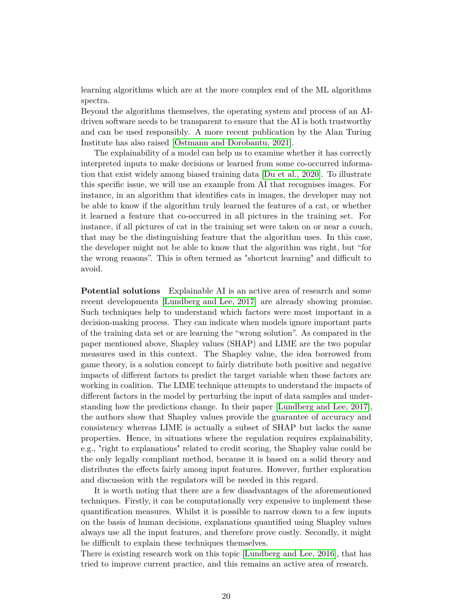learning algorithms which are at the more complex end of the ML algorithms spectra.

Beyond the algorithms themselves, the operating system and process of an AIdriven software needs to be transparent to ensure that the AI is both trustworthy and can be used responsibly. A more recent publication by the Alan Turing Institute has also raised [\[Ostmann and Dorobantu, 2021\]](#page-36-4).

The explainability of a model can help us to examine whether it has correctly interpreted inputs to make decisions or learned from some co-occurred information that exist widely among biased training data [\[Du et al., 2020\]](#page-33-7). To illustrate this specific issue, we will use an example from AI that recognises images. For instance, in an algorithm that identifies cats in images, the developer may not be able to know if the algorithm truly learned the features of a cat, or whether it learned a feature that co-occurred in all pictures in the training set. For instance, if all pictures of cat in the training set were taken on or near a couch, that may be the distinguishing feature that the algorithm uses. In this case, the developer might not be able to know that the algorithm was right, but "for the wrong reasons". This is often termed as "shortcut learning" and difficult to avoid.

**Potential solutions** Explainable AI is an active area of research and some recent developments [\[Lundberg and Lee, 2017\]](#page-36-5) are already showing promise. Such techniques help to understand which factors were most important in a decision-making process. They can indicate when models ignore important parts of the training data set or are learning the "wrong solution". As compared in the paper mentioned above, Shapley values (SHAP) and LIME are the two popular measures used in this context. The Shapley value, the idea borrowed from game theory, is a solution concept to fairly distribute both positive and negative impacts of different factors to predict the target variable when those factors are working in coalition. The LIME technique attempts to understand the impacts of different factors in the model by perturbing the input of data samples and understanding how the predictions change. In their paper [\[Lundberg and Lee, 2017\]](#page-36-5), the authors show that Shapley values provide the guarantee of accuracy and consistency whereas LIME is actually a subset of SHAP but lacks the same properties. Hence, in situations where the regulation requires explainability, e.g., "right to explanations" related to credit scoring, the Shapley value could be the only legally compliant method, because it is based on a solid theory and distributes the effects fairly among input features. However, further exploration and discussion with the regulators will be needed in this regard.

It is worth noting that there are a few disadvantages of the aforementioned techniques. Firstly, it can be computationally very expensive to implement these quantification measures. Whilst it is possible to narrow down to a few inputs on the basis of human decisions, explanations quantified using Shapley values always use all the input features, and therefore prove costly. Secondly, it might be difficult to explain these techniques themselves.

There is existing research work on this topic [\[Lundberg and Lee, 2016\]](#page-36-6), that has tried to improve current practice, and this remains an active area of research.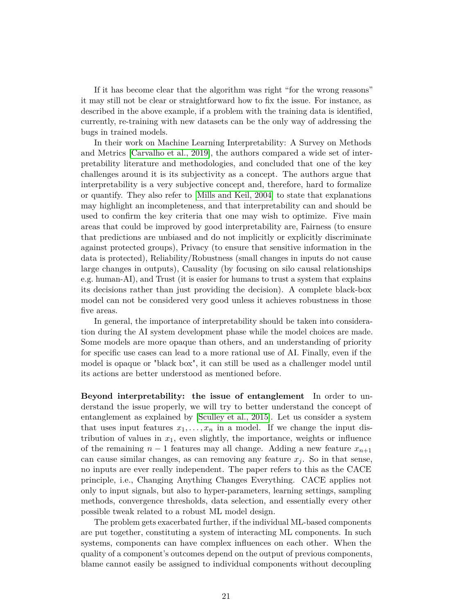If it has become clear that the algorithm was right "for the wrong reasons" it may still not be clear or straightforward how to fix the issue. For instance, as described in the above example, if a problem with the training data is identified, currently, re-training with new datasets can be the only way of addressing the bugs in trained models.

In their work on Machine Learning Interpretability: A Survey on Methods and Metrics [\[Carvalho et al., 2019\]](#page-33-6), the authors compared a wide set of interpretability literature and methodologies, and concluded that one of the key challenges around it is its subjectivity as a concept. The authors argue that interpretability is a very subjective concept and, therefore, hard to formalize or quantify. They also refer to [\[Mills and Keil, 2004\]](#page-36-7) to state that explanations may highlight an incompleteness, and that interpretability can and should be used to confirm the key criteria that one may wish to optimize. Five main areas that could be improved by good interpretability are, Fairness (to ensure that predictions are unbiased and do not implicitly or explicitly discriminate against protected groups), Privacy (to ensure that sensitive information in the data is protected), Reliability/Robustness (small changes in inputs do not cause large changes in outputs), Causality (by focusing on silo causal relationships e.g. human-AI), and Trust (it is easier for humans to trust a system that explains its decisions rather than just providing the decision). A complete black-box model can not be considered very good unless it achieves robustness in those five areas.

In general, the importance of interpretability should be taken into consideration during the AI system development phase while the model choices are made. Some models are more opaque than others, and an understanding of priority for specific use cases can lead to a more rational use of AI. Finally, even if the model is opaque or "black box", it can still be used as a challenger model until its actions are better understood as mentioned before.

**Beyond interpretability: the issue of entanglement** In order to understand the issue properly, we will try to better understand the concept of entanglement as explained by [\[Sculley et al., 2015\]](#page-37-5). Let us consider a system that uses input features  $x_1, \ldots, x_n$  in a model. If we change the input distribution of values in  $x_1$ , even slightly, the importance, weights or influence of the remaining  $n-1$  features may all change. Adding a new feature  $x_{n+1}$ can cause similar changes, as can removing any feature  $x<sub>i</sub>$ . So in that sense, no inputs are ever really independent. The paper refers to this as the CACE principle, i.e., Changing Anything Changes Everything. CACE applies not only to input signals, but also to hyper-parameters, learning settings, sampling methods, convergence thresholds, data selection, and essentially every other possible tweak related to a robust ML model design.

The problem gets exacerbated further, if the individual ML-based components are put together, constituting a system of interacting ML components. In such systems, components can have complex influences on each other. When the quality of a component's outcomes depend on the output of previous components, blame cannot easily be assigned to individual components without decoupling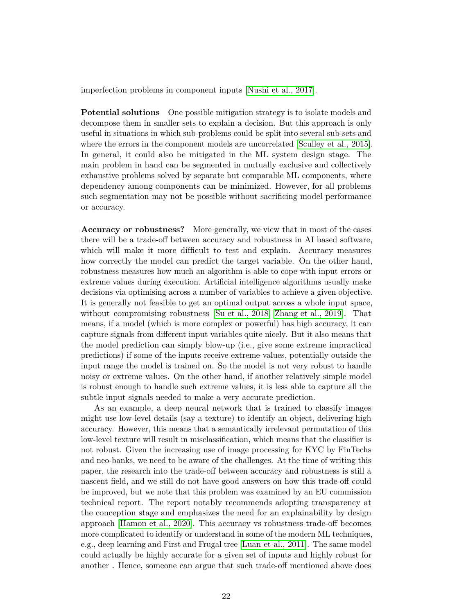imperfection problems in component inputs [\[Nushi et al., 2017\]](#page-36-8).

**Potential solutions** One possible mitigation strategy is to isolate models and decompose them in smaller sets to explain a decision. But this approach is only useful in situations in which sub-problems could be split into several sub-sets and where the errors in the component models are uncorrelated [\[Sculley et al., 2015\]](#page-37-5). In general, it could also be mitigated in the ML system design stage. The main problem in hand can be segmented in mutually exclusive and collectively exhaustive problems solved by separate but comparable ML components, where dependency among components can be minimized. However, for all problems such segmentation may not be possible without sacrificing model performance or accuracy.

**Accuracy or robustness?** More generally, we view that in most of the cases there will be a trade-off between accuracy and robustness in AI based software, which will make it more difficult to test and explain. Accuracy measures how correctly the model can predict the target variable. On the other hand, robustness measures how much an algorithm is able to cope with input errors or extreme values during execution. Artificial intelligence algorithms usually make decisions via optimising across a number of variables to achieve a given objective. It is generally not feasible to get an optimal output across a whole input space, without compromising robustness [\[Su et al., 2018,](#page-37-6) [Zhang et al., 2019\]](#page-37-7). That means, if a model (which is more complex or powerful) has high accuracy, it can capture signals from different input variables quite nicely. But it also means that the model prediction can simply blow-up (i.e., give some extreme impractical predictions) if some of the inputs receive extreme values, potentially outside the input range the model is trained on. So the model is not very robust to handle noisy or extreme values. On the other hand, if another relatively simple model is robust enough to handle such extreme values, it is less able to capture all the subtle input signals needed to make a very accurate prediction.

As an example, a deep neural network that is trained to classify images might use low-level details (say a texture) to identify an object, delivering high accuracy. However, this means that a semantically irrelevant permutation of this low-level texture will result in misclassification, which means that the classifier is not robust. Given the increasing use of image processing for KYC by FinTechs and neo-banks, we need to be aware of the challenges. At the time of writing this paper, the research into the trade-off between accuracy and robustness is still a nascent field, and we still do not have good answers on how this trade-off could be improved, but we note that this problem was examined by an EU commission technical report. The report notably recommends adopting transparency at the conception stage and emphasizes the need for an explainability by design approach [\[Hamon et al., 2020\]](#page-34-5). This accuracy vs robustness trade-off becomes more complicated to identify or understand in some of the modern ML techniques, e.g., deep learning and First and Frugal tree [\[Luan et al., 2011\]](#page-36-9). The same model could actually be highly accurate for a given set of inputs and highly robust for another . Hence, someone can argue that such trade-off mentioned above does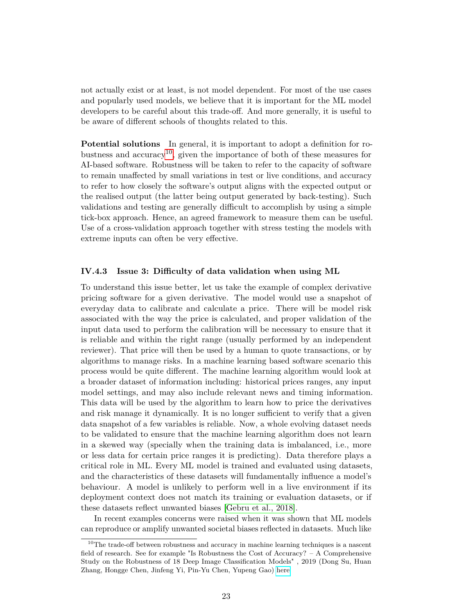not actually exist or at least, is not model dependent. For most of the use cases and popularly used models, we believe that it is important for the ML model developers to be careful about this trade-off. And more generally, it is useful to be aware of different schools of thoughts related to this.

**Potential solutions** In general, it is important to adopt a definition for ro-bustness and accuracy<sup>[10](#page-24-0)</sup>, given the importance of both of these measures for AI-based software. Robustness will be taken to refer to the capacity of software to remain unaffected by small variations in test or live conditions, and accuracy to refer to how closely the software's output aligns with the expected output or the realised output (the latter being output generated by back-testing). Such validations and testing are generally difficult to accomplish by using a simple tick-box approach. Hence, an agreed framework to measure them can be useful. Use of a cross-validation approach together with stress testing the models with extreme inputs can often be very effective.

#### **IV.4.3 Issue 3: Difficulty of data validation when using ML**

To understand this issue better, let us take the example of complex derivative pricing software for a given derivative. The model would use a snapshot of everyday data to calibrate and calculate a price. There will be model risk associated with the way the price is calculated, and proper validation of the input data used to perform the calibration will be necessary to ensure that it is reliable and within the right range (usually performed by an independent reviewer). That price will then be used by a human to quote transactions, or by algorithms to manage risks. In a machine learning based software scenario this process would be quite different. The machine learning algorithm would look at a broader dataset of information including: historical prices ranges, any input model settings, and may also include relevant news and timing information. This data will be used by the algorithm to learn how to price the derivatives and risk manage it dynamically. It is no longer sufficient to verify that a given data snapshot of a few variables is reliable. Now, a whole evolving dataset needs to be validated to ensure that the machine learning algorithm does not learn in a skewed way (specially when the training data is imbalanced, i.e., more or less data for certain price ranges it is predicting). Data therefore plays a critical role in ML. Every ML model is trained and evaluated using datasets, and the characteristics of these datasets will fundamentally influence a model's behaviour. A model is unlikely to perform well in a live environment if its deployment context does not match its training or evaluation datasets, or if these datasets reflect unwanted biases [\[Gebru et al., 2018\]](#page-34-6).

In recent examples concerns were raised when it was shown that ML models can reproduce or amplify unwanted societal biases reflected in datasets. Much like

<span id="page-24-0"></span><sup>&</sup>lt;sup>10</sup>The trade-off between robustness and accuracy in machine learning techniques is a nascent field of research. See for example "Is Robustness the Cost of Accuracy? – A Comprehensive Study on the Robustness of 18 Deep Image Classification Models" , 2019 (Dong Su, Huan Zhang, Hongge Chen, Jinfeng Yi, Pin-Yu Chen, Yupeng Gao) [here](https://arxiv.org/abs/1808.01688)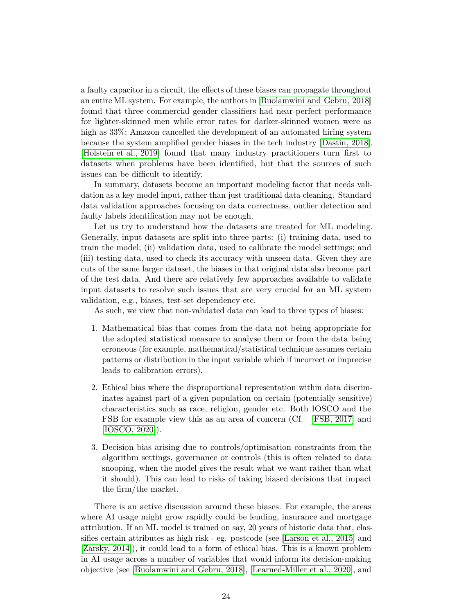a faulty capacitor in a circuit, the effects of these biases can propagate throughout an entire ML system. For example, the authors in [\[Buolamwini and Gebru, 2018\]](#page-32-6) found that three commercial gender classifiers had near-perfect performance for lighter-skinned men while error rates for darker-skinned women were as high as  $33\%$ ; Amazon cancelled the development of an automated hiring system because the system amplified gender biases in the tech industry [\[Dastin, 2018\]](#page-33-8). [\[Holstein et al., 2019\]](#page-34-7) found that many industry practitioners turn first to datasets when problems have been identified, but that the sources of such issues can be difficult to identify.

In summary, datasets become an important modeling factor that needs validation as a key model input, rather than just traditional data cleaning. Standard data validation approaches focusing on data correctness, outlier detection and faulty labels identification may not be enough.

Let us try to understand how the datasets are treated for ML modeling. Generally, input datasets are split into three parts: (i) training data, used to train the model; (ii) validation data, used to calibrate the model settings; and (iii) testing data, used to check its accuracy with unseen data. Given they are cuts of the same larger dataset, the biases in that original data also become part of the test data. And there are relatively few approaches available to validate input datasets to resolve such issues that are very crucial for an ML system validation, e.g., biases, test-set dependency etc.

As such, we view that non-validated data can lead to three types of biases:

- 1. Mathematical bias that comes from the data not being appropriate for the adopted statistical measure to analyse them or from the data being erroneous (for example, mathematical/statistical technique assumes certain patterns or distribution in the input variable which if incorrect or imprecise leads to calibration errors).
- 2. Ethical bias where the disproportional representation within data discriminates against part of a given population on certain (potentially sensitive) characteristics such as race, religion, gender etc. Both IOSCO and the FSB for example view this as an area of concern (Cf. [\[FSB, 2017\]](#page-34-4) and [\[IOSCO, 2020\]](#page-34-3)).
- 3. Decision bias arising due to controls/optimisation constraints from the algorithm settings, governance or controls (this is often related to data snooping, when the model gives the result what we want rather than what it should). This can lead to risks of taking biased decisions that impact the firm/the market.

There is an active discussion around these biases. For example, the areas where AI usage might grow rapidly could be lending, insurance and mortgage attribution. If an ML model is trained on say, 20 years of historic data that, classifies certain attributes as high risk - eg. postcode (see [\[Larson et al., 2015\]](#page-35-3) and [\[Zarsky, 2014\]](#page-37-8)), it could lead to a form of ethical bias. This is a known problem in AI usage across a number of variables that would inform its decision-making objective (see [\[Buolamwini and Gebru, 2018\]](#page-32-6), [\[Learned-Miller et al., 2020\]](#page-35-4), and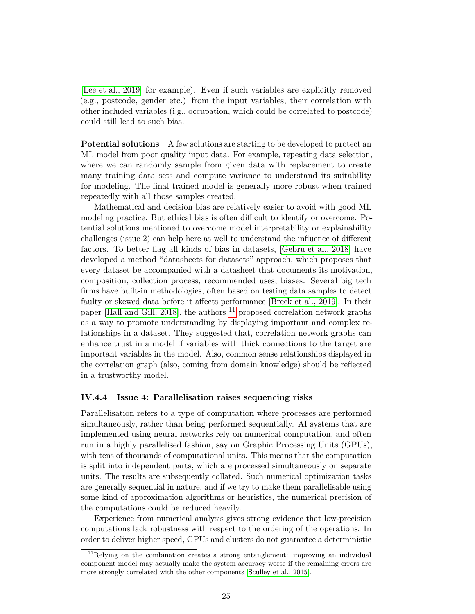[\[Lee et al., 2019\]](#page-35-5) for example). Even if such variables are explicitly removed (e.g., postcode, gender etc.) from the input variables, their correlation with other included variables (i.g., occupation, which could be correlated to postcode) could still lead to such bias.

**Potential solutions** A few solutions are starting to be developed to protect an ML model from poor quality input data. For example, repeating data selection, where we can randomly sample from given data with replacement to create many training data sets and compute variance to understand its suitability for modeling. The final trained model is generally more robust when trained repeatedly with all those samples created.

Mathematical and decision bias are relatively easier to avoid with good ML modeling practice. But ethical bias is often difficult to identify or overcome. Potential solutions mentioned to overcome model interpretability or explainability challenges (issue 2) can help here as well to understand the influence of different factors. To better flag all kinds of bias in datasets, [\[Gebru et al., 2018\]](#page-34-6) have developed a method "datasheets for datasets" approach, which proposes that every dataset be accompanied with a datasheet that documents its motivation, composition, collection process, recommended uses, biases. Several big tech firms have built-in methodologies, often based on testing data samples to detect faulty or skewed data before it affects performance [\[Breck et al., 2019\]](#page-32-7). In their paper [\[Hall and Gill, 2018\]](#page-34-8), the authors  $^{11}$  $^{11}$  $^{11}$  proposed correlation network graphs as a way to promote understanding by displaying important and complex relationships in a dataset. They suggested that, correlation network graphs can enhance trust in a model if variables with thick connections to the target are important variables in the model. Also, common sense relationships displayed in the correlation graph (also, coming from domain knowledge) should be reflected in a trustworthy model.

#### **IV.4.4 Issue 4: Parallelisation raises sequencing risks**

Parallelisation refers to a type of computation where processes are performed simultaneously, rather than being performed sequentially. AI systems that are implemented using neural networks rely on numerical computation, and often run in a highly parallelised fashion, say on Graphic Processing Units (GPUs), with tens of thousands of computational units. This means that the computation is split into independent parts, which are processed simultaneously on separate units. The results are subsequently collated. Such numerical optimization tasks are generally sequential in nature, and if we try to make them parallelisable using some kind of approximation algorithms or heuristics, the numerical precision of the computations could be reduced heavily.

Experience from numerical analysis gives strong evidence that low-precision computations lack robustness with respect to the ordering of the operations. In order to deliver higher speed, GPUs and clusters do not guarantee a deterministic

<span id="page-26-0"></span><sup>&</sup>lt;sup>11</sup>Relying on the combination creates a strong entanglement: improving an individual component model may actually make the system accuracy worse if the remaining errors are more strongly correlated with the other components [\[Sculley et al., 2015\]](#page-37-5).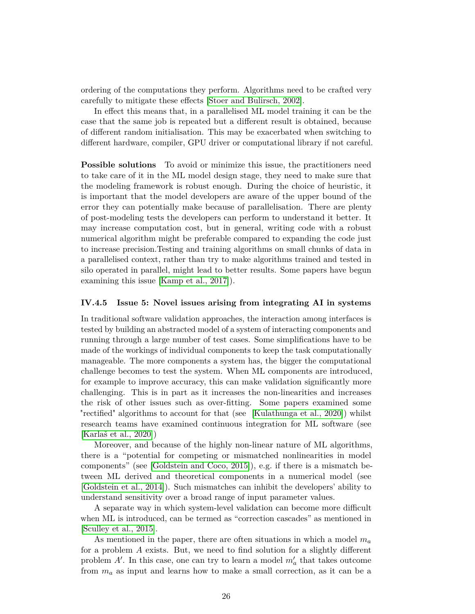ordering of the computations they perform. Algorithms need to be crafted very carefully to mitigate these effects [\[Stoer and Bulirsch, 2002\]](#page-37-9).

In effect this means that, in a parallelised ML model training it can be the case that the same job is repeated but a different result is obtained, because of different random initialisation. This may be exacerbated when switching to different hardware, compiler, GPU driver or computational library if not careful.

**Possible solutions** To avoid or minimize this issue, the practitioners need to take care of it in the ML model design stage, they need to make sure that the modeling framework is robust enough. During the choice of heuristic, it is important that the model developers are aware of the upper bound of the error they can potentially make because of parallelisation. There are plenty of post-modeling tests the developers can perform to understand it better. It may increase computation cost, but in general, writing code with a robust numerical algorithm might be preferable compared to expanding the code just to increase precision.Testing and training algorithms on small chunks of data in a parallelised context, rather than try to make algorithms trained and tested in silo operated in parallel, might lead to better results. Some papers have begun examining this issue [\[Kamp et al., 2017\]](#page-35-6)).

#### **IV.4.5 Issue 5: Novel issues arising from integrating AI in systems**

In traditional software validation approaches, the interaction among interfaces is tested by building an abstracted model of a system of interacting components and running through a large number of test cases. Some simplifications have to be made of the workings of individual components to keep the task computationally manageable. The more components a system has, the bigger the computational challenge becomes to test the system. When ML components are introduced, for example to improve accuracy, this can make validation significantly more challenging. This is in part as it increases the non-linearities and increases the risk of other issues such as over-fitting. Some papers examined some "rectified" algorithms to account for that (see [\[Kulathunga et al., 2020\]](#page-35-7)) whilst research teams have examined continuous integration for ML software (see [\[Karlaš et al., 2020\]](#page-35-8))

Moreover, and because of the highly non-linear nature of ML algorithms, there is a "potential for competing or mismatched nonlinearities in model components" (see [\[Goldstein and Coco, 2015\]](#page-34-9)), e.g. if there is a mismatch between ML derived and theoretical components in a numerical model (see [\[Goldstein et al., 2014\]](#page-34-10)). Such mismatches can inhibit the developers' ability to understand sensitivity over a broad range of input parameter values.

A separate way in which system-level validation can become more difficult when ML is introduced, can be termed as "correction cascades" as mentioned in [\[Sculley et al., 2015\]](#page-37-5).

As mentioned in the paper, there are often situations in which a model *m<sup>a</sup>* for a problem *A* exists. But, we need to find solution for a slightly different problem  $A'$ . In this case, one can try to learn a model  $m'_a$  that takes outcome from *m<sup>a</sup>* as input and learns how to make a small correction, as it can be a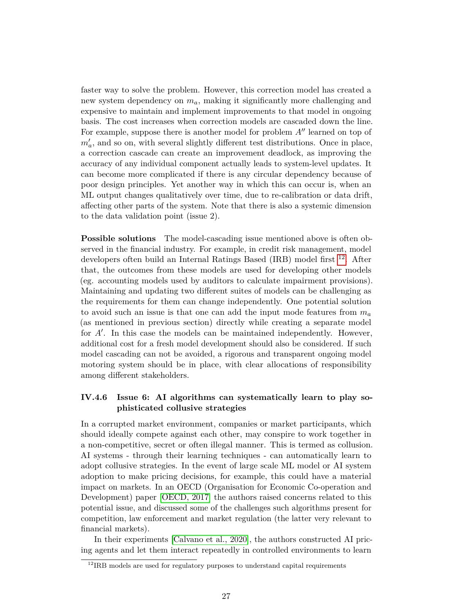faster way to solve the problem. However, this correction model has created a new system dependency on *ma*, making it significantly more challenging and expensive to maintain and implement improvements to that model in ongoing basis. The cost increases when correction models are cascaded down the line. For example, suppose there is another model for problem  $A<sup>0</sup>$  learned on top of  $m'_a$ , and so on, with several slightly different test distributions. Once in place, a correction cascade can create an improvement deadlock, as improving the accuracy of any individual component actually leads to system-level updates. It can become more complicated if there is any circular dependency because of poor design principles. Yet another way in which this can occur is, when an ML output changes qualitatively over time, due to re-calibration or data drift, affecting other parts of the system. Note that there is also a systemic dimension to the data validation point (issue 2).

**Possible solutions** The model-cascading issue mentioned above is often observed in the financial industry. For example, in credit risk management, model developers often build an Internal Ratings Based (IRB) model first <sup>[12](#page-28-0)</sup>. After that, the outcomes from these models are used for developing other models (eg. accounting models used by auditors to calculate impairment provisions). Maintaining and updating two different suites of models can be challenging as the requirements for them can change independently. One potential solution to avoid such an issue is that one can add the input mode features from *m<sup>a</sup>* (as mentioned in previous section) directly while creating a separate model for  $A'$ . In this case the models can be maintained independently. However, additional cost for a fresh model development should also be considered. If such model cascading can not be avoided, a rigorous and transparent ongoing model motoring system should be in place, with clear allocations of responsibility among different stakeholders.

#### **IV.4.6 Issue 6: AI algorithms can systematically learn to play sophisticated collusive strategies**

In a corrupted market environment, companies or market participants, which should ideally compete against each other, may conspire to work together in a non-competitive, secret or often illegal manner. This is termed as collusion. AI systems - through their learning techniques - can automatically learn to adopt collusive strategies. In the event of large scale ML model or AI system adoption to make pricing decisions, for example, this could have a material impact on markets. In an OECD (Organisation for Economic Co-operation and Development) paper [\[OECD, 2017\]](#page-36-10) the authors raised concerns related to this potential issue, and discussed some of the challenges such algorithms present for competition, law enforcement and market regulation (the latter very relevant to financial markets).

In their experiments [\[Calvano et al., 2020\]](#page-33-9), the authors constructed AI pricing agents and let them interact repeatedly in controlled environments to learn

<span id="page-28-0"></span> $12$ <sub>IRB</sub> models are used for regulatory purposes to understand capital requirements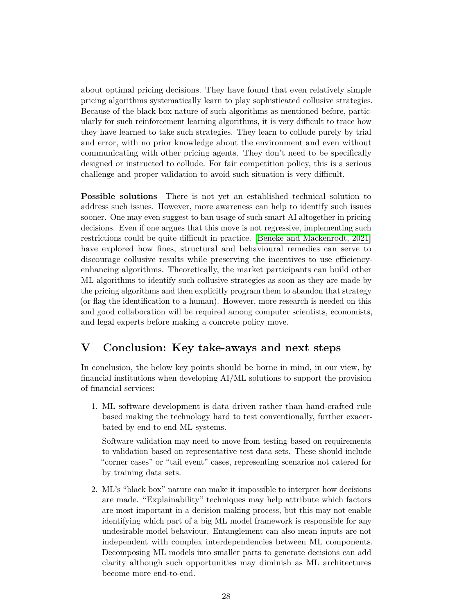about optimal pricing decisions. They have found that even relatively simple pricing algorithms systematically learn to play sophisticated collusive strategies. Because of the black-box nature of such algorithms as mentioned before, particularly for such reinforcement learning algorithms, it is very difficult to trace how they have learned to take such strategies. They learn to collude purely by trial and error, with no prior knowledge about the environment and even without communicating with other pricing agents. They don't need to be specifically designed or instructed to collude. For fair competition policy, this is a serious challenge and proper validation to avoid such situation is very difficult.

**Possible solutions** There is not yet an established technical solution to address such issues. However, more awareness can help to identify such issues sooner. One may even suggest to ban usage of such smart AI altogether in pricing decisions. Even if one argues that this move is not regressive, implementing such restrictions could be quite difficult in practice. [\[Beneke and Mackenrodt, 2021\]](#page-32-8) have explored how fines, structural and behavioural remedies can serve to discourage collusive results while preserving the incentives to use efficiencyenhancing algorithms. Theoretically, the market participants can build other ML algorithms to identify such collusive strategies as soon as they are made by the pricing algorithms and then explicitly program them to abandon that strategy (or flag the identification to a human). However, more research is needed on this and good collaboration will be required among computer scientists, economists, and legal experts before making a concrete policy move.

## <span id="page-29-0"></span>**V Conclusion: Key take-aways and next steps**

In conclusion, the below key points should be borne in mind, in our view, by financial institutions when developing AI/ML solutions to support the provision of financial services:

1. ML software development is data driven rather than hand-crafted rule based making the technology hard to test conventionally, further exacerbated by end-to-end ML systems.

Software validation may need to move from testing based on requirements to validation based on representative test data sets. These should include "corner cases" or "tail event" cases, representing scenarios not catered for by training data sets.

2. ML's "black box" nature can make it impossible to interpret how decisions are made. "Explainability" techniques may help attribute which factors are most important in a decision making process, but this may not enable identifying which part of a big ML model framework is responsible for any undesirable model behaviour. Entanglement can also mean inputs are not independent with complex interdependencies between ML components. Decomposing ML models into smaller parts to generate decisions can add clarity although such opportunities may diminish as ML architectures become more end-to-end.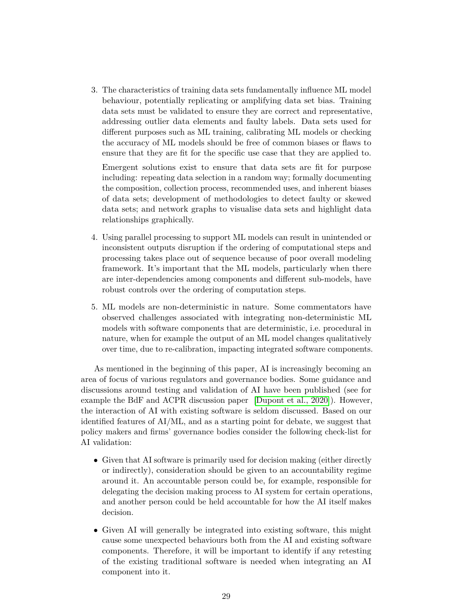3. The characteristics of training data sets fundamentally influence ML model behaviour, potentially replicating or amplifying data set bias. Training data sets must be validated to ensure they are correct and representative, addressing outlier data elements and faulty labels. Data sets used for different purposes such as ML training, calibrating ML models or checking the accuracy of ML models should be free of common biases or flaws to ensure that they are fit for the specific use case that they are applied to.

Emergent solutions exist to ensure that data sets are fit for purpose including: repeating data selection in a random way; formally documenting the composition, collection process, recommended uses, and inherent biases of data sets; development of methodologies to detect faulty or skewed data sets; and network graphs to visualise data sets and highlight data relationships graphically.

- 4. Using parallel processing to support ML models can result in unintended or inconsistent outputs disruption if the ordering of computational steps and processing takes place out of sequence because of poor overall modeling framework. It's important that the ML models, particularly when there are inter-dependencies among components and different sub-models, have robust controls over the ordering of computation steps.
- 5. ML models are non-deterministic in nature. Some commentators have observed challenges associated with integrating non-deterministic ML models with software components that are deterministic, i.e. procedural in nature, when for example the output of an ML model changes qualitatively over time, due to re-calibration, impacting integrated software components.

As mentioned in the beginning of this paper, AI is increasingly becoming an area of focus of various regulators and governance bodies. Some guidance and discussions around testing and validation of AI have been published (see for example the BdF and ACPR discussion paper [\[Dupont et al., 2020\]](#page-33-5)). However, the interaction of AI with existing software is seldom discussed. Based on our identified features of AI/ML, and as a starting point for debate, we suggest that policy makers and firms' governance bodies consider the following check-list for AI validation:

- Given that AI software is primarily used for decision making (either directly or indirectly), consideration should be given to an accountability regime around it. An accountable person could be, for example, responsible for delegating the decision making process to AI system for certain operations, and another person could be held accountable for how the AI itself makes decision.
- Given AI will generally be integrated into existing software, this might cause some unexpected behaviours both from the AI and existing software components. Therefore, it will be important to identify if any retesting of the existing traditional software is needed when integrating an AI component into it.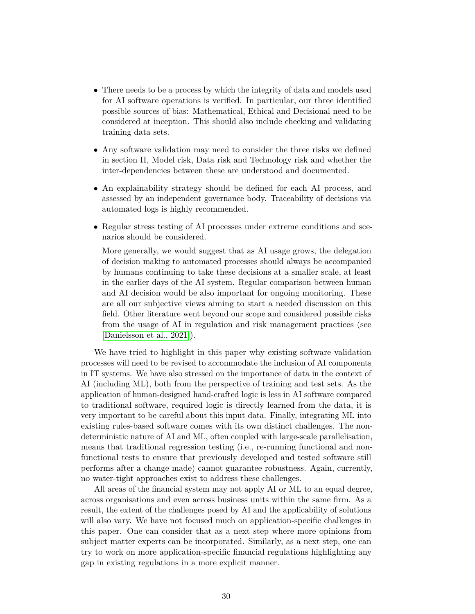- There needs to be a process by which the integrity of data and models used for AI software operations is verified. In particular, our three identified possible sources of bias: Mathematical, Ethical and Decisional need to be considered at inception. This should also include checking and validating training data sets.
- Any software validation may need to consider the three risks we defined in section II, Model risk, Data risk and Technology risk and whether the inter-dependencies between these are understood and documented.
- An explainability strategy should be defined for each AI process, and assessed by an independent governance body. Traceability of decisions via automated logs is highly recommended.
- Regular stress testing of AI processes under extreme conditions and scenarios should be considered.

More generally, we would suggest that as AI usage grows, the delegation of decision making to automated processes should always be accompanied by humans continuing to take these decisions at a smaller scale, at least in the earlier days of the AI system. Regular comparison between human and AI decision would be also important for ongoing monitoring. These are all our subjective views aiming to start a needed discussion on this field. Other literature went beyond our scope and considered possible risks from the usage of AI in regulation and risk management practices (see [\[Danielsson et al., 2021\]](#page-33-10)).

We have tried to highlight in this paper why existing software validation processes will need to be revised to accommodate the inclusion of AI components in IT systems. We have also stressed on the importance of data in the context of AI (including ML), both from the perspective of training and test sets. As the application of human-designed hand-crafted logic is less in AI software compared to traditional software, required logic is directly learned from the data, it is very important to be careful about this input data. Finally, integrating ML into existing rules-based software comes with its own distinct challenges. The nondeterministic nature of AI and ML, often coupled with large-scale parallelisation, means that traditional regression testing (i.e., re-running functional and nonfunctional tests to ensure that previously developed and tested software still performs after a change made) cannot guarantee robustness. Again, currently, no water-tight approaches exist to address these challenges.

All areas of the financial system may not apply AI or ML to an equal degree, across organisations and even across business units within the same firm. As a result, the extent of the challenges posed by AI and the applicability of solutions will also vary. We have not focused much on application-specific challenges in this paper. One can consider that as a next step where more opinions from subject matter experts can be incorporated. Similarly, as a next step, one can try to work on more application-specific financial regulations highlighting any gap in existing regulations in a more explicit manner.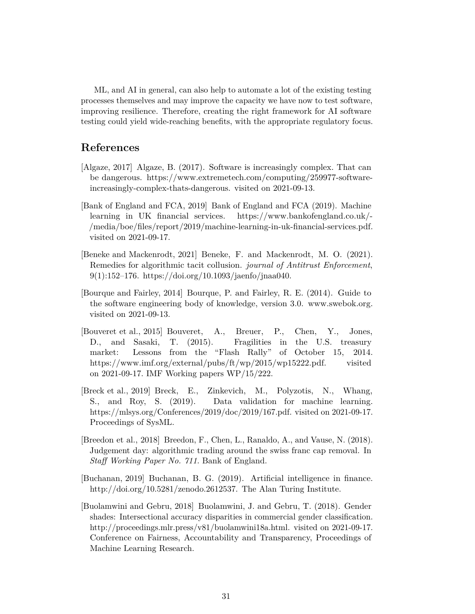ML, and AI in general, can also help to automate a lot of the existing testing processes themselves and may improve the capacity we have now to test software, improving resilience. Therefore, creating the right framework for AI software testing could yield wide-reaching benefits, with the appropriate regulatory focus.

### **References**

- <span id="page-32-4"></span>[Algaze, 2017] Algaze, B. (2017). Software is increasingly complex. That can be dangerous. https://www.extremetech.com/computing/259977-softwareincreasingly-complex-thats-dangerous. visited on 2021-09-13.
- <span id="page-32-0"></span>[Bank of England and FCA, 2019] Bank of England and FCA (2019). Machine learning in UK financial services. https://www.bankofengland.co.uk/- /media/boe/files/report/2019/machine-learning-in-uk-financial-services.pdf. visited on 2021-09-17.
- <span id="page-32-8"></span>[Beneke and Mackenrodt, 2021] Beneke, F. and Mackenrodt, M. O. (2021). Remedies for algorithmic tacit collusion. *journal of Antitrust Enforcement*,  $9(1):152-176.$  https://doi.org/10.1093/jaenfo/jnaa040.
- <span id="page-32-1"></span>[Bourque and Fairley, 2014] Bourque, P. and Fairley, R. E. (2014). Guide to the software engineering body of knowledge, version 3.0. www.swebok.org. visited on 2021-09-13.
- <span id="page-32-2"></span>[Bouveret et al., 2015] Bouveret, A., Breuer, P., Chen, Y., Jones, D., and Sasaki, T. (2015). Fragilities in the U.S. treasury market: Lessons from the "Flash Rally" of October 15, 2014. https://www.imf.org/external/pubs/ft/wp/2015/wp15222.pdf. visited on 2021-09-17. IMF Working papers WP/15/222.
- <span id="page-32-7"></span>[Breck et al., 2019] Breck, E., Zinkevich, M., Polyzotis, N., Whang, S., and Roy, S. (2019). Data validation for machine learning. https://mlsys.org/Conferences/2019/doc/2019/167.pdf. visited on 2021-09-17. Proceedings of SysML.
- <span id="page-32-3"></span>[Breedon et al., 2018] Breedon, F., Chen, L., Ranaldo, A., and Vause, N. (2018). Judgement day: algorithmic trading around the swiss franc cap removal. In *Staff Working Paper No. 711*. Bank of England.
- <span id="page-32-5"></span>[Buchanan, 2019] Buchanan, B. G. (2019). Artificial intelligence in finance. http://doi.org/10.5281/zenodo.2612537. The Alan Turing Institute.
- <span id="page-32-6"></span>[Buolamwini and Gebru, 2018] Buolamwini, J. and Gebru, T. (2018). Gender shades: Intersectional accuracy disparities in commercial gender classification. http://proceedings.mlr.press/v81/buolamwini18a.html. visited on 2021-09-17. Conference on Fairness, Accountability and Transparency, Proceedings of Machine Learning Research.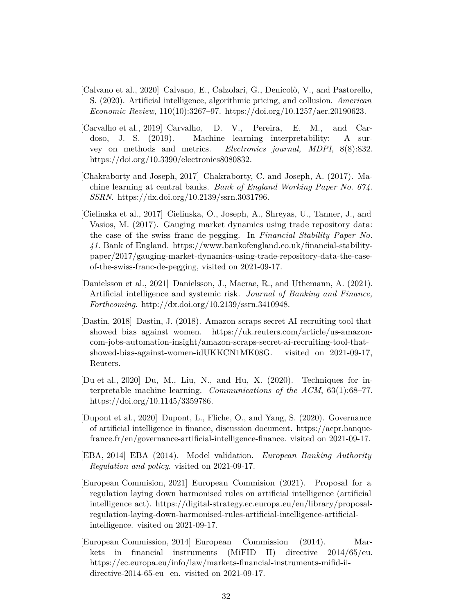- <span id="page-33-9"></span>[Calvano et al., 2020] Calvano, E., Calzolari, G., Denicolò, V., and Pastorello, S. (2020). Artificial intelligence, algorithmic pricing, and collusion. *American Economic Review*, 110(10):3267–97. https://doi.org/10.1257/aer.20190623.
- <span id="page-33-6"></span>[Carvalho et al., 2019] Carvalho, D. V., Pereira, E. M., and Cardoso, J. S. (2019). Machine learning interpretability: A survey on methods and metrics. *Electronics journal, MDPI*, 8(8):832. https://doi.org/10.3390/electronics8080832.
- <span id="page-33-4"></span>[Chakraborty and Joseph, 2017] Chakraborty, C. and Joseph, A. (2017). Machine learning at central banks. *Bank of England Working Paper No. 674. SSRN*. https://dx.doi.org/10.2139/ssrn.3031796.
- <span id="page-33-1"></span>[Cielinska et al., 2017] Cielinska, O., Joseph, A., Shreyas, U., Tanner, J., and Vasios, M. (2017). Gauging market dynamics using trade repository data: the case of the swiss franc de-pegging. In *Financial Stability Paper No. 41*. Bank of England. https://www.bankofengland.co.uk/financial-stabilitypaper/2017/gauging-market-dynamics-using-trade-repository-data-the-caseof-the-swiss-franc-de-pegging, visited on 2021-09-17.
- <span id="page-33-10"></span>[Danielsson et al., 2021] Danielsson, J., Macrae, R., and Uthemann, A. (2021). Artificial intelligence and systemic risk. *Journal of Banking and Finance, Forthcoming*. http://dx.doi.org/10.2139/ssrn.3410948.
- <span id="page-33-8"></span>[Dastin, 2018] Dastin, J. (2018). Amazon scraps secret AI recruiting tool that showed bias against women. https://uk.reuters.com/article/us-amazoncom-jobs-automation-insight/amazon-scraps-secret-ai-recruiting-tool-thatshowed-bias-against-women-idUKKCN1MK08G. visited on 2021-09-17, Reuters.
- <span id="page-33-7"></span>[Du et al., 2020] Du, M., Liu, N., and Hu, X. (2020). Techniques for interpretable machine learning. *Communications of the ACM*, 63(1):68–77. https://doi.org/10.1145/3359786.
- <span id="page-33-5"></span>[Dupont et al., 2020] Dupont, L., Fliche, O., and Yang, S. (2020). Governance of artificial intelligence in finance, discussion document. https://acpr.banquefrance.fr/en/governance-artificial-intelligence-finance. visited on 2021-09-17.
- <span id="page-33-0"></span>[EBA, 2014] EBA (2014). Model validation. *European Banking Authority Regulation and policy*. visited on 2021-09-17.
- <span id="page-33-3"></span>[European Commision, 2021] European Commision (2021). Proposal for a regulation laying down harmonised rules on artificial intelligence (artificial intelligence act). https://digital-strategy.ec.europa.eu/en/library/proposalregulation-laying-down-harmonised-rules-artificial-intelligence-artificialintelligence. visited on 2021-09-17.
- <span id="page-33-2"></span>[European Commission, 2014] European Commission (2014). Markets in financial instruments (MiFID II) directive 2014/65/eu. https://ec.europa.eu/info/law/markets-financial-instruments-mifid-iidirective-2014-65-eu\_en. visited on 2021-09-17.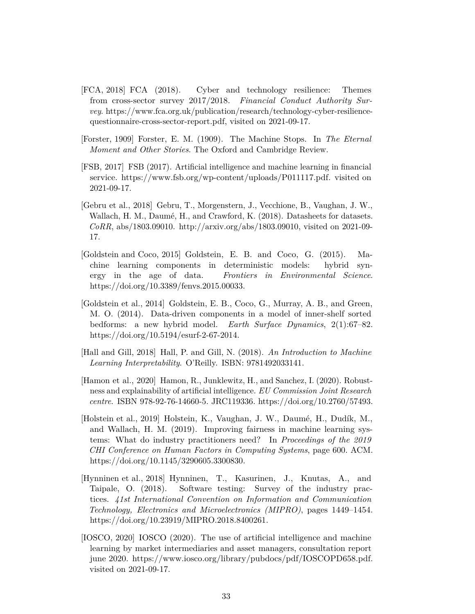- <span id="page-34-1"></span>[FCA, 2018] FCA (2018). Cyber and technology resilience: Themes from cross-sector survey 2017/2018. *Financial Conduct Authority Survey*. https://www.fca.org.uk/publication/research/technology-cyber-resiliencequestionnaire-cross-sector-report.pdf, visited on 2021-09-17.
- <span id="page-34-0"></span>[Forster, 1909] Forster, E. M. (1909). The Machine Stops. In *The Eternal Moment and Other Stories*. The Oxford and Cambridge Review.
- <span id="page-34-4"></span>[FSB, 2017] FSB (2017). Artificial intelligence and machine learning in financial service. https://www.fsb.org/wp-content/uploads/P011117.pdf. visited on 2021-09-17.
- <span id="page-34-6"></span>[Gebru et al., 2018] Gebru, T., Morgenstern, J., Vecchione, B., Vaughan, J. W., Wallach, H. M., Daumé, H., and Crawford, K. (2018). Datasheets for datasets. *CoRR*, abs/1803.09010. http://arxiv.org/abs/1803.09010, visited on 2021-09- 17.
- <span id="page-34-9"></span>[Goldstein and Coco, 2015] Goldstein, E. B. and Coco, G. (2015). Machine learning components in deterministic models: hybrid synergy in the age of data. *Frontiers in Environmental Science*. https://doi.org/10.3389/fenvs.2015.00033.
- <span id="page-34-10"></span>[Goldstein et al., 2014] Goldstein, E. B., Coco, G., Murray, A. B., and Green, M. O. (2014). Data-driven components in a model of inner-shelf sorted bedforms: a new hybrid model. *Earth Surface Dynamics*, 2(1):67–82. https://doi.org/10.5194/esurf-2-67-2014.
- <span id="page-34-8"></span>[Hall and Gill, 2018] Hall, P. and Gill, N. (2018). *An Introduction to Machine Learning Interpretability*. O'Reilly. ISBN: 9781492033141.
- <span id="page-34-5"></span>[Hamon et al., 2020] Hamon, R., Junklewitz, H., and Sanchez, I. (2020). Robustness and explainability of artificial intelligence. *EU Commission Joint Research centre*. ISBN 978-92-76-14660-5. JRC119336. https://doi.org/10.2760/57493.
- <span id="page-34-7"></span>[Holstein et al., 2019] Holstein, K., Vaughan, J. W., Daumé, H., Dudík, M., and Wallach, H. M. (2019). Improving fairness in machine learning systems: What do industry practitioners need? In *Proceedings of the 2019 CHI Conference on Human Factors in Computing Systems*, page 600. ACM. https://doi.org/10.1145/3290605.3300830.
- <span id="page-34-2"></span>[Hynninen et al., 2018] Hynninen, T., Kasurinen, J., Knutas, A., and Taipale, O. (2018). Software testing: Survey of the industry practices. *41st International Convention on Information and Communication Technology, Electronics and Microelectronics (MIPRO)*, pages 1449–1454. https://doi.org/10.23919/MIPRO.2018.8400261.
- <span id="page-34-3"></span>[IOSCO, 2020] IOSCO (2020). The use of artificial intelligence and machine learning by market intermediaries and asset managers, consultation report june 2020. https://www.iosco.org/library/pubdocs/pdf/IOSCOPD658.pdf. visited on 2021-09-17.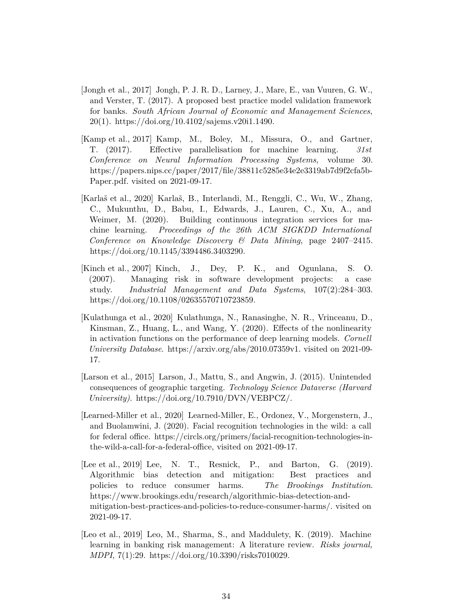- <span id="page-35-0"></span>[Jongh et al., 2017] Jongh, P. J. R. D., Larney, J., Mare, E., van Vuuren, G. W., and Verster, T. (2017). A proposed best practice model validation framework for banks. *South African Journal of Economic and Management Sciences*, 20(1). https://doi.org/10.4102/sajems.v20i1.1490.
- <span id="page-35-6"></span>[Kamp et al., 2017] Kamp, M., Boley, M., Missura, O., and Gartner, T. (2017). Effective parallelisation for machine learning. *31st Conference on Neural Information Processing Systems*, volume 30. https://papers.nips.cc/paper/2017/file/38811c5285e34e2e3319ab7d9f2cfa5b-Paper.pdf. visited on 2021-09-17.
- <span id="page-35-8"></span>[Karlaš et al., 2020] Karlaš, B., Interlandi, M., Renggli, C., Wu, W., Zhang, C., Mukunthu, D., Babu, I., Edwards, J., Lauren, C., Xu, A., and Weimer, M. (2020). Building continuous integration services for machine learning. *Proceedings of the 26th ACM SIGKDD International Conference on Knowledge Discovery & Data Mining*, page 2407–2415. https://doi.org/10.1145/3394486.3403290.
- <span id="page-35-2"></span>[Kinch et al., 2007] Kinch, J., Dey, P. K., and Ogunlana, S. O. (2007). Managing risk in software development projects: a case study. *Industrial Management and Data Systems*, 107(2):284–303. https://doi.org/10.1108/02635570710723859.
- <span id="page-35-7"></span>[Kulathunga et al., 2020] Kulathunga, N., Ranasinghe, N. R., Vrinceanu, D., Kinsman, Z., Huang, L., and Wang, Y. (2020). Effects of the nonlinearity in activation functions on the performance of deep learning models. *Cornell University Database*. https://arxiv.org/abs/2010.07359v1. visited on 2021-09- 17.
- <span id="page-35-3"></span>[Larson et al., 2015] Larson, J., Mattu, S., and Angwin, J. (2015). Unintended consequences of geographic targeting. *Technology Science Dataverse (Harvard University)*. https://doi.org/10.7910/DVN/VEBPCZ/.
- <span id="page-35-4"></span>[Learned-Miller et al., 2020] Learned-Miller, E., Ordonez, V., Morgenstern, J., and Buolamwini, J. (2020). Facial recognition technologies in the wild: a call for federal office. https://circls.org/primers/facial-recognition-technologies-inthe-wild-a-call-for-a-federal-office, visited on 2021-09-17.
- <span id="page-35-5"></span>[Lee et al., 2019] Lee, N. T., Resnick, P., and Barton, G. (2019). Algorithmic bias detection and mitigation: Best practices and policies to reduce consumer harms. *The Brookings Institution*. https://www.brookings.edu/research/algorithmic-bias-detection-andmitigation-best-practices-and-policies-to-reduce-consumer-harms/. visited on 2021-09-17.
- <span id="page-35-1"></span>[Leo et al., 2019] Leo, M., Sharma, S., and Maddulety, K. (2019). Machine learning in banking risk management: A literature review. *Risks journal, MDPI*, 7(1):29. https://doi.org/10.3390/risks7010029.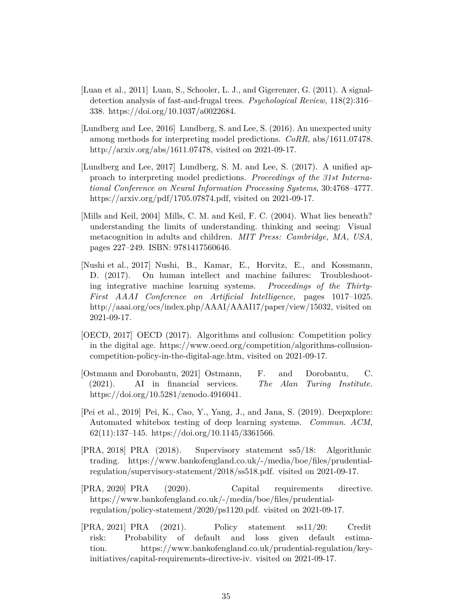- <span id="page-36-9"></span>[Luan et al., 2011] Luan, S., Schooler, L. J., and Gigerenzer, G. (2011). A signaldetection analysis of fast-and-frugal trees. *Psychological Review*, 118(2):316– 338. https://doi.org/10.1037/a0022684.
- <span id="page-36-6"></span>[Lundberg and Lee, 2016] Lundberg, S. and Lee, S. (2016). An unexpected unity among methods for interpreting model predictions. *CoRR*, abs/1611.07478. http://arxiv.org/abs/1611.07478, visited on 2021-09-17.
- <span id="page-36-5"></span>[Lundberg and Lee, 2017] Lundberg, S. M. and Lee, S. (2017). A unified approach to interpreting model predictions. *Proceedings of the 31st International Conference on Neural Information Processing Systems*, 30:4768–4777. https://arxiv.org/pdf/1705.07874.pdf, visited on 2021-09-17.
- <span id="page-36-7"></span>[Mills and Keil, 2004] Mills, C. M. and Keil, F. C. (2004). What lies beneath? understanding the limits of understanding. thinking and seeing: Visual metacognition in adults and children. *MIT Press: Cambridge, MA, USA*, pages 227–249. ISBN: 9781417560646.
- <span id="page-36-8"></span>[Nushi et al., 2017] Nushi, B., Kamar, E., Horvitz, E., and Kossmann, D. (2017). On human intellect and machine failures: Troubleshooting integrative machine learning systems. *Proceedings of the Thirty-First AAAI Conference on Artificial Intelligence*, pages 1017–1025. http://aaai.org/ocs/index.php/AAAI/AAAI17/paper/view/15032, visited on 2021-09-17.
- <span id="page-36-10"></span>[OECD, 2017] OECD (2017). Algorithms and collusion: Competition policy in the digital age. https://www.oecd.org/competition/algorithms-collusioncompetition-policy-in-the-digital-age.htm, visited on 2021-09-17.
- <span id="page-36-4"></span>[Ostmann and Dorobantu, 2021] Ostmann, F. and Dorobantu, C. (2021). AI in financial services. *The Alan Turing Institute.* https://doi.org/10.5281/zenodo.4916041.
- <span id="page-36-3"></span>[Pei et al., 2019] Pei, K., Cao, Y., Yang, J., and Jana, S. (2019). Deepxplore: Automated whitebox testing of deep learning systems. *Commun. ACM*,  $62(11):137-145.$  https://doi.org/10.1145/3361566.
- <span id="page-36-2"></span>[PRA, 2018] PRA (2018). Supervisory statement ss5/18: Algorithmic trading. https://www.bankofengland.co.uk/-/media/boe/files/prudentialregulation/supervisory-statement/2018/ss518.pdf. visited on 2021-09-17.
- <span id="page-36-0"></span>[PRA, 2020] PRA (2020). Capital requirements directive. https://www.bankofengland.co.uk/-/media/boe/files/prudentialregulation/policy-statement/2020/ps1120.pdf. visited on 2021-09-17.
- <span id="page-36-1"></span>[PRA, 2021] PRA (2021). Policy statement ss11/20: Credit risk: Probability of default and loss given default estimation. https://www.bankofengland.co.uk/prudential-regulation/keyinitiatives/capital-requirements-directive-iv. visited on 2021-09-17.